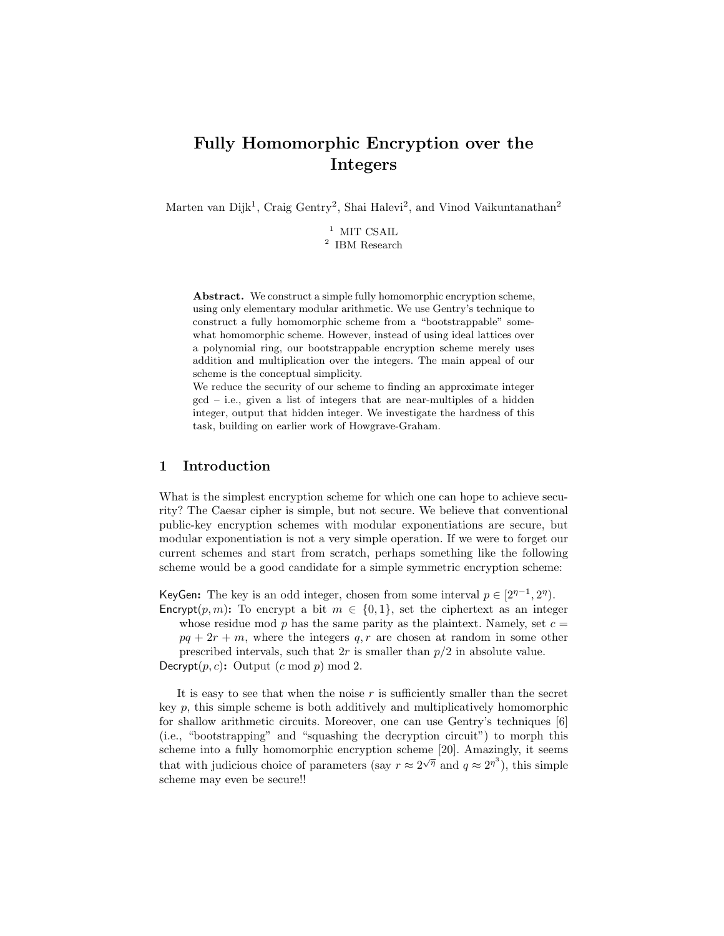# Fully Homomorphic Encryption over the Integers

Marten van Dijk<sup>1</sup>, Craig Gentry<sup>2</sup>, Shai Halevi<sup>2</sup>, and Vinod Vaikuntanathan<sup>2</sup>

 $^1\,$  MIT CSAIL 2 IBM Research

Abstract. We construct a simple fully homomorphic encryption scheme, using only elementary modular arithmetic. We use Gentry's technique to construct a fully homomorphic scheme from a "bootstrappable" somewhat homomorphic scheme. However, instead of using ideal lattices over a polynomial ring, our bootstrappable encryption scheme merely uses addition and multiplication over the integers. The main appeal of our scheme is the conceptual simplicity.

We reduce the security of our scheme to finding an approximate integer gcd – i.e., given a list of integers that are near-multiples of a hidden integer, output that hidden integer. We investigate the hardness of this task, building on earlier work of Howgrave-Graham.

# 1 Introduction

What is the simplest encryption scheme for which one can hope to achieve security? The Caesar cipher is simple, but not secure. We believe that conventional public-key encryption schemes with modular exponentiations are secure, but modular exponentiation is not a very simple operation. If we were to forget our current schemes and start from scratch, perhaps something like the following scheme would be a good candidate for a simple symmetric encryption scheme:

KeyGen: The key is an odd integer, chosen from some interval  $p \in [2^{n-1}, 2^n)$ .

Encrypt(p, m): To encrypt a bit  $m \in \{0,1\}$ , set the ciphertext as an integer whose residue mod p has the same parity as the plaintext. Namely, set  $c =$  $pq + 2r + m$ , where the integers q, r are chosen at random in some other prescribed intervals, such that  $2r$  is smaller than  $p/2$  in absolute value.

Decrypt $(p, c)$ : Output  $(c \mod p) \mod 2$ .

It is easy to see that when the noise  $r$  is sufficiently smaller than the secret key  $p$ , this simple scheme is both additively and multiplicatively homomorphic for shallow arithmetic circuits. Moreover, one can use Gentry's techniques [6] (i.e., "bootstrapping" and "squashing the decryption circuit") to morph this scheme into a fully homomorphic encryption scheme [20]. Amazingly, it seems that with judicious choice of parameters (say  $r \approx 2^{\sqrt{\eta}}$  and  $q \approx 2^{\eta^3}$ ), this simple scheme may even be secure!!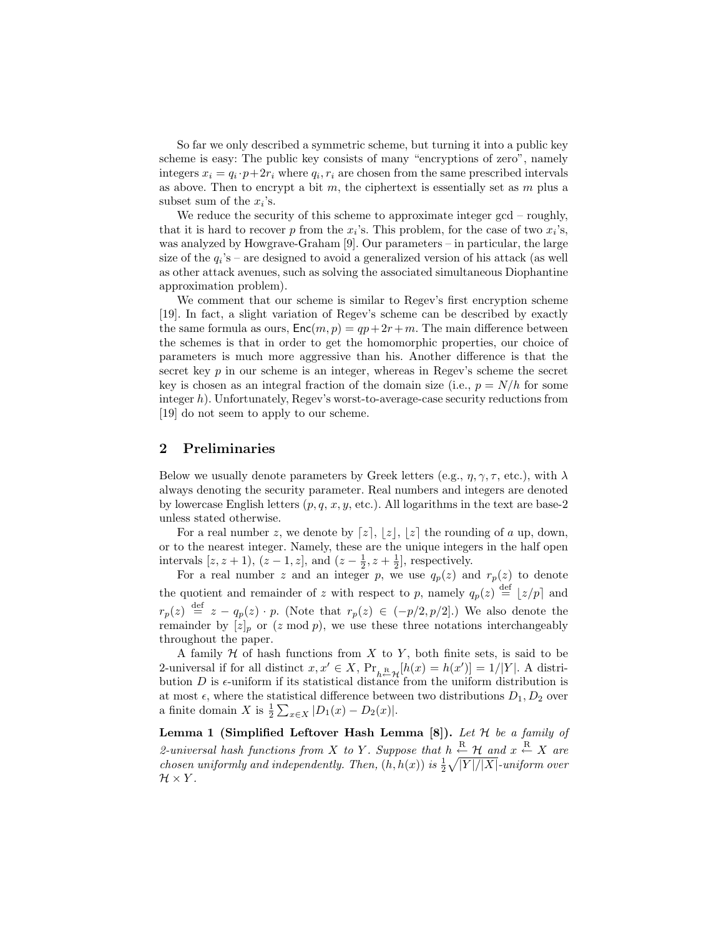So far we only described a symmetric scheme, but turning it into a public key scheme is easy: The public key consists of many "encryptions of zero", namely integers  $x_i = q_i \cdot p + 2r_i$  where  $q_i, r_i$  are chosen from the same prescribed intervals as above. Then to encrypt a bit  $m$ , the ciphertext is essentially set as  $m$  plus a subset sum of the  $x_i$ 's.

We reduce the security of this scheme to approximate integer gcd – roughly, that it is hard to recover p from the  $x_i$ 's. This problem, for the case of two  $x_i$ 's, was analyzed by Howgrave-Graham [9]. Our parameters – in particular, the large size of the  $q_i$ 's – are designed to avoid a generalized version of his attack (as well as other attack avenues, such as solving the associated simultaneous Diophantine approximation problem).

We comment that our scheme is similar to Regev's first encryption scheme [19]. In fact, a slight variation of Regev's scheme can be described by exactly the same formula as ours,  $Enc(m, p) = qp + 2r + m$ . The main difference between the schemes is that in order to get the homomorphic properties, our choice of parameters is much more aggressive than his. Another difference is that the secret key  $p$  in our scheme is an integer, whereas in Regev's scheme the secret key is chosen as an integral fraction of the domain size (i.e.,  $p = N/h$  for some integer h). Unfortunately, Regev's worst-to-average-case security reductions from [19] do not seem to apply to our scheme.

# 2 Preliminaries

Below we usually denote parameters by Greek letters (e.g.,  $\eta$ ,  $\gamma$ ,  $\tau$ , etc.), with  $\lambda$ always denoting the security parameter. Real numbers and integers are denoted by lowercase English letters  $(p, q, x, y, \text{etc.})$ . All logarithms in the text are base-2 unless stated otherwise.

For a real number z, we denote by  $[z], |z|, |z|$  the rounding of a up, down, or to the nearest integer. Namely, these are the unique integers in the half open intervals  $[z, z+1), (z-1, z],$  and  $(z-\frac{1}{2}, z+\frac{1}{2}],$  respectively.

For a real number z and an integer p, we use  $q_p(z)$  and  $r_p(z)$  to denote the quotient and remainder of z with respect to p, namely  $q_p(z) \stackrel{\text{def}}{=} \lfloor z/p \rfloor$  and  $r_p(z) \stackrel{\text{def}}{=} z - q_p(z) \cdot p$ . (Note that  $r_p(z) \in (-p/2, p/2]$ .) We also denote the remainder by  $[z]_p$  or  $(z \mod p)$ , we use these three notations interchangeably throughout the paper.

A family  $H$  of hash functions from  $X$  to  $Y$ , both finite sets, is said to be 2-universal if for all distinct  $x, x' \in X$ ,  $Pr_{h \in \mathcal{H}}[h(x) = h(x')] = 1/|Y|$ . A distribution D is  $\epsilon$ -uniform if its statistical distance from the uniform distribution is at most  $\epsilon$ , where the statistical difference between two distributions  $D_1, D_2$  over a finite domain X is  $\frac{1}{2} \sum_{x \in X} |D_1(x) - D_2(x)|$ .

Lemma 1 (Simplified Leftover Hash Lemma [8]). Let  $H$  be a family of 2-universal hash functions from X to Y. Suppose that  $h \stackrel{R}{\longleftarrow} \mathcal{H}$  and  $x \stackrel{R}{\longleftarrow} X$  are chosen uniformly and independently. Then,  $(h, h(x))$  is  $\frac{1}{2}\sqrt{|Y|/|X|}$ -uniform over  $\mathcal{H} \times Y$ .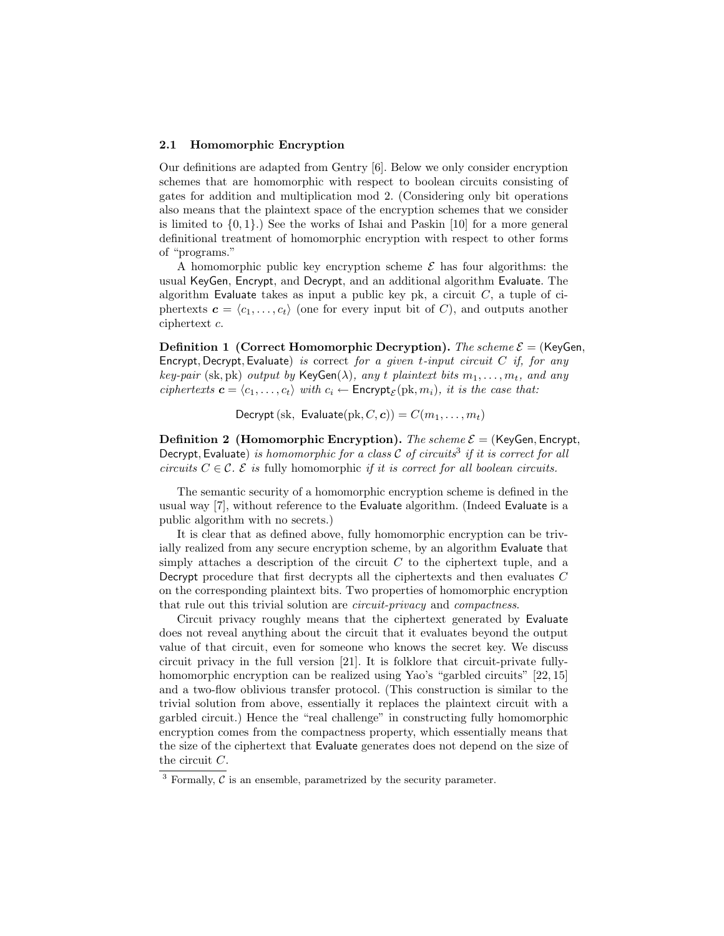### 2.1 Homomorphic Encryption

Our definitions are adapted from Gentry [6]. Below we only consider encryption schemes that are homomorphic with respect to boolean circuits consisting of gates for addition and multiplication mod 2. (Considering only bit operations also means that the plaintext space of the encryption schemes that we consider is limited to  $\{0, 1\}$ .) See the works of Ishai and Paskin [10] for a more general definitional treatment of homomorphic encryption with respect to other forms of "programs."

A homomorphic public key encryption scheme  $\mathcal E$  has four algorithms: the usual KeyGen, Encrypt, and Decrypt, and an additional algorithm Evaluate. The algorithm Evaluate takes as input a public key pk, a circuit  $C$ , a tuple of ciphertexts  $\mathbf{c} = \langle c_1, \ldots, c_t \rangle$  (one for every input bit of C), and outputs another ciphertext c.

**Definition 1** (Correct Homomorphic Decryption). The scheme  $\mathcal{E} =$  (KeyGen, Encrypt, Decrypt, Evaluate) is correct for a given t-input circuit  $C$  if, for any key-pair (sk, pk) output by  $KeyGen(\lambda)$ , any t plaintext bits  $m_1, \ldots, m_t$ , and any ciphertexts  $\mathbf{c} = \langle c_1, \ldots, c_t \rangle$  with  $c_i \leftarrow \mathsf{Encrypt}_{\mathcal{E}}(\mathrm{pk}, m_i)$ , it is the case that:

Decrypt (sk, Evaluate(pk,  $C, c$ )) =  $C(m_1, \ldots, m_t)$ 

**Definition 2** (Homomorphic Encryption). The scheme  $\mathcal{E} =$  (KeyGen, Encrypt, Decrypt, Evaluate) is homomorphic for a class  $C$  of circuits<sup>3</sup> if it is correct for all circuits  $C \in \mathcal{C}$ .  $\mathcal{E}$  is fully homomorphic if it is correct for all boolean circuits.

The semantic security of a homomorphic encryption scheme is defined in the usual way [7], without reference to the Evaluate algorithm. (Indeed Evaluate is a public algorithm with no secrets.)

It is clear that as defined above, fully homomorphic encryption can be trivially realized from any secure encryption scheme, by an algorithm Evaluate that simply attaches a description of the circuit  $C$  to the ciphertext tuple, and a Decrypt procedure that first decrypts all the ciphertexts and then evaluates C on the corresponding plaintext bits. Two properties of homomorphic encryption that rule out this trivial solution are circuit-privacy and compactness.

Circuit privacy roughly means that the ciphertext generated by Evaluate does not reveal anything about the circuit that it evaluates beyond the output value of that circuit, even for someone who knows the secret key. We discuss circuit privacy in the full version [21]. It is folklore that circuit-private fullyhomomorphic encryption can be realized using Yao's "garbled circuits" [22, 15] and a two-flow oblivious transfer protocol. (This construction is similar to the trivial solution from above, essentially it replaces the plaintext circuit with a garbled circuit.) Hence the "real challenge" in constructing fully homomorphic encryption comes from the compactness property, which essentially means that the size of the ciphertext that Evaluate generates does not depend on the size of the circuit C.

 $3$  Formally,  $\mathcal C$  is an ensemble, parametrized by the security parameter.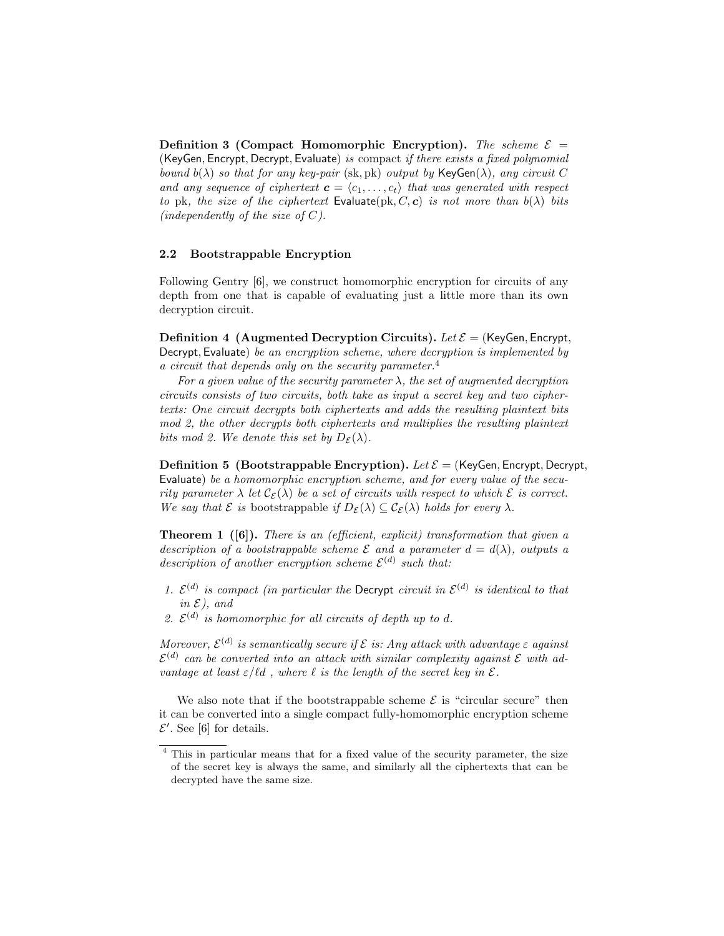Definition 3 (Compact Homomorphic Encryption). The scheme  $\mathcal{E} =$ (KeyGen, Encrypt, Decrypt, Evaluate) is compact if there exists a fixed polynomial bound  $b(\lambda)$  so that for any key-pair (sk, pk) output by KeyGen( $\lambda$ ), any circuit C and any sequence of ciphertext  $\mathbf{c} = \langle c_1, \ldots, c_t \rangle$  that was generated with respect to pk, the size of the ciphertext Evaluate(pk, C, c) is not more than  $b(\lambda)$  bits (independently of the size of  $C$ ).

# 2.2 Bootstrappable Encryption

Following Gentry [6], we construct homomorphic encryption for circuits of any depth from one that is capable of evaluating just a little more than its own decryption circuit.

**Definition 4 (Augmented Decryption Circuits).** Let  $\mathcal{E} =$  (KeyGen, Encrypt, Decrypt, Evaluate) be an encryption scheme, where decryption is implemented by a circuit that depends only on the security parameter.<sup>4</sup>

For a given value of the security parameter  $\lambda$ , the set of augmented decryption circuits consists of two circuits, both take as input a secret key and two ciphertexts: One circuit decrypts both ciphertexts and adds the resulting plaintext bits mod 2, the other decrypts both ciphertexts and multiplies the resulting plaintext bits mod 2. We denote this set by  $D_{\mathcal{E}}(\lambda)$ .

**Definition 5** (Bootstrappable Encryption). Let  $\mathcal{E} =$  (KeyGen, Encrypt, Decrypt, Evaluate) be a homomorphic encryption scheme, and for every value of the security parameter  $\lambda$  let  $\mathcal{C}_{\mathcal{E}}(\lambda)$  be a set of circuits with respect to which  $\mathcal{E}$  is correct. We say that  $\mathcal E$  is bootstrappable if  $D_{\mathcal E}(\lambda) \subseteq C_{\mathcal E}(\lambda)$  holds for every  $\lambda$ .

**Theorem 1** ([6]). There is an (efficient, explicit) transformation that given a description of a bootstrappable scheme  $\mathcal E$  and a parameter  $d = d(\lambda)$ , outputs a description of another encryption scheme  $\mathcal{E}^{(d)}$  such that:

- 1.  $\mathcal{E}^{(d)}$  is compact (in particular the Decrypt circuit in  $\mathcal{E}^{(d)}$  is identical to that in  $\mathcal E$ ), and
- 2.  $\mathcal{E}^{(d)}$  is homomorphic for all circuits of depth up to d.

Moreover,  $\mathcal{E}^{(d)}$  is semantically secure if  $\mathcal E$  is: Any attack with advantage  $\varepsilon$  against  $\mathcal{E}^{(d)}$  can be converted into an attack with similar complexity against  $\mathcal E$  with advantage at least  $\varepsilon/d$ , where  $\ell$  is the length of the secret key in  $\mathcal{E}$ .

We also note that if the bootstrappable scheme  $\mathcal E$  is "circular secure" then it can be converted into a single compact fully-homomorphic encryption scheme  $\mathcal{E}'$ . See [6] for details.

<sup>4</sup> This in particular means that for a fixed value of the security parameter, the size of the secret key is always the same, and similarly all the ciphertexts that can be decrypted have the same size.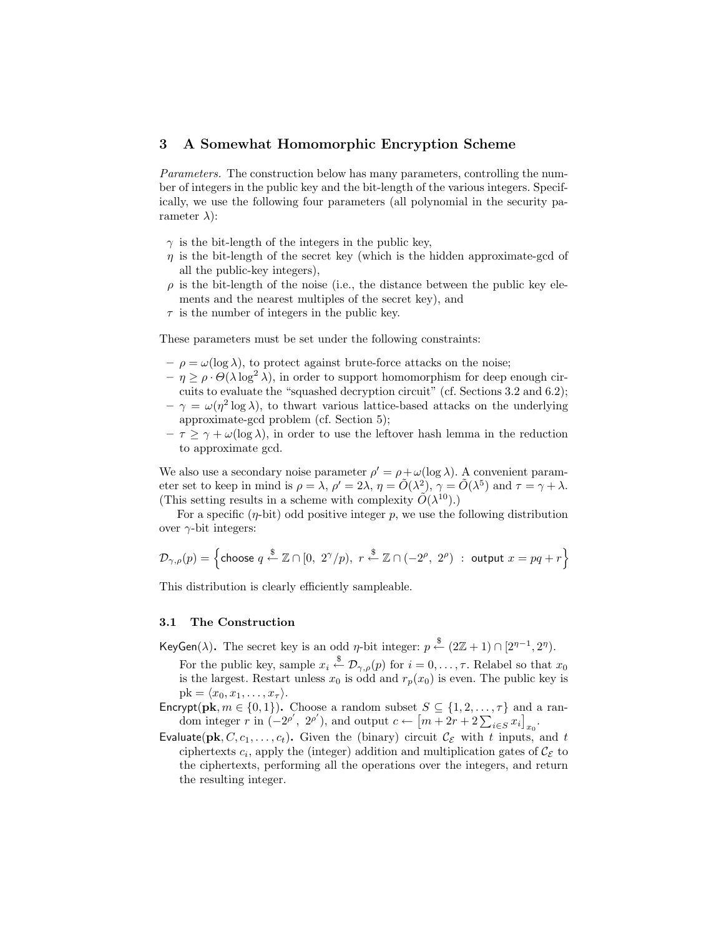# 3 A Somewhat Homomorphic Encryption Scheme

Parameters. The construction below has many parameters, controlling the number of integers in the public key and the bit-length of the various integers. Specifically, we use the following four parameters (all polynomial in the security parameter  $\lambda$ :

- $\gamma$  is the bit-length of the integers in the public key,
- $\eta$  is the bit-length of the secret key (which is the hidden approximate-gcd of all the public-key integers),
- $\rho$  is the bit-length of the noise (i.e., the distance between the public key elements and the nearest multiples of the secret key), and
- $\tau$  is the number of integers in the public key.

These parameters must be set under the following constraints:

- $-\rho = \omega(\log \lambda)$ , to protect against brute-force attacks on the noise;
- $-\eta \geq \rho \cdot \Theta(\lambda \log^2 \lambda)$ , in order to support homomorphism for deep enough circuits to evaluate the "squashed decryption circuit" (cf. Sections 3.2 and 6.2);
- $-\gamma = \omega(\eta^2 \log \lambda)$ , to thwart various lattice-based attacks on the underlying approximate-gcd problem (cf. Section 5);
- $-\tau \geq \gamma + \omega(\log \lambda)$ , in order to use the leftover hash lemma in the reduction to approximate gcd.

We also use a secondary noise parameter  $\rho' = \rho + \omega(\log \lambda)$ . A convenient parameter set to keep in mind is  $\rho = \lambda$ ,  $\rho' = 2\lambda$ ,  $\eta = \tilde{O}(\lambda^2)$ ,  $\gamma = \tilde{O}(\lambda^5)$  and  $\tau = \gamma + \lambda$ . (This setting results in a scheme with complexity  $\widetilde{O}(\lambda^{10})$ .)

For a specific  $(\eta$ -bit) odd positive integer p, we use the following distribution over  $\gamma$ -bit integers:

$$
\mathcal{D}_{\gamma,\rho}(p) = \left\{ \text{choose } q \stackrel{\$} \leftarrow \mathbb{Z} \cap [0, 2^{\gamma}/p), \ r \stackrel{\$} \leftarrow \mathbb{Z} \cap (-2^{\rho}, 2^{\rho}) \ : \ \text{output } x = pq + r \right\}
$$

This distribution is clearly efficiently sampleable.

### 3.1 The Construction

KeyGen( $\lambda$ ). The secret key is an odd  $\eta$ -bit integer:  $p \stackrel{\$}{\leftarrow} (2\mathbb{Z} + 1) \cap [2^{\eta-1}, 2^{\eta})$ .

- For the public key, sample  $x_i \stackrel{\$}{\leftarrow} \mathcal{D}_{\gamma,\rho}(p)$  for  $i = 0, \ldots, \tau$ . Relabel so that  $x_0$ is the largest. Restart unless  $x_0$  is odd and  $r_p(x_0)$  is even. The public key is  $pk = \langle x_0, x_1, \ldots, x_{\tau} \rangle$ .
- Encrypt(pk,  $m \in \{0, 1\}$ ). Choose a random subset  $S \subseteq \{1, 2, ..., \tau\}$  and a ran- $\begin{aligned} \text{d} \text{bin}(\mathbf{p} \mathbf{K}, m \in \{0, 1\}) \text{. Choose a random subset } S \subseteq \{1, 2, \ldots, 7\} \text{ and } \text{is } \text{ and } \text{is } \text{ and } \text{is } \text{ and } \text{is } \text{ and } \text{is } \text{ and } \text{is } \text{ and } \text{is } \text{ and } \text{is } \text{ and } \text{is } \text{ and } \text{is } \text{ and } \text{is } \text{ is } \text{ and } \text{is } \text{ is } \text{ and } \text{is } \text{ is } \text{ and } \text{is$
- Evaluate(pk,  $C, c_1, \ldots, c_t$ ). Given the (binary) circuit  $\mathcal{C}_{\mathcal{E}}$  with t inputs, and t ciphertexts  $c_i$ , apply the (integer) addition and multiplication gates of  $\mathcal{C}_{\mathcal{E}}$  to the ciphertexts, performing all the operations over the integers, and return the resulting integer.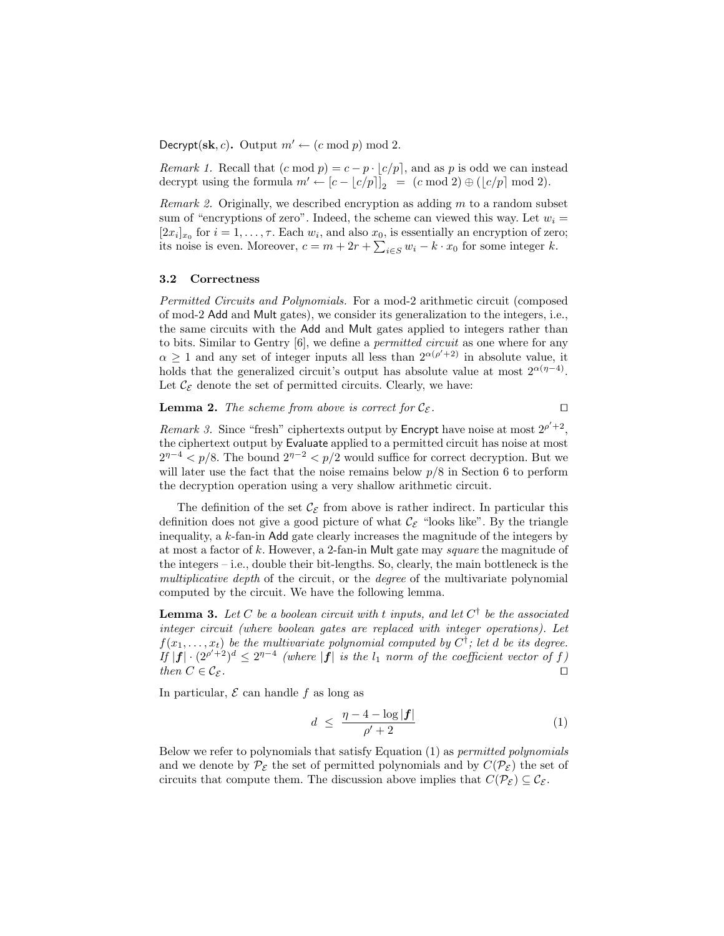Decrypt(sk, c). Output  $m' \leftarrow (c \mod p) \mod 2$ .

Remark 1. Recall that  $(c \mod p) = c - p \cdot \lfloor c/p \rfloor$ , and as p is odd we can instead decrypt using the formula  $m' \leftarrow [c - \lfloor c/p \rfloor]_2 = (c \mod 2) \oplus (\lfloor c/p \rfloor \mod 2).$ 

Remark 2. Originally, we described encryption as adding  $m$  to a random subset sum of "encryptions of zero". Indeed, the scheme can viewed this way. Let  $w_i =$  $[2x_i]_{x_0}$  for  $i = 1, \ldots, \tau$ . Each  $w_i$ , and also  $x_0$ , is essentially an encryption of zero; its noise is even. Moreover,  $c = m + 2r + \sum_{i \in S} w_i - k \cdot x_0$  for some integer k.

### 3.2 Correctness

Permitted Circuits and Polynomials. For a mod-2 arithmetic circuit (composed of mod-2 Add and Mult gates), we consider its generalization to the integers, i.e., the same circuits with the Add and Mult gates applied to integers rather than to bits. Similar to Gentry [6], we define a permitted circuit as one where for any  $\alpha \geq 1$  and any set of integer inputs all less than  $2^{\alpha(\rho'+2)}$  in absolute value, it holds that the generalized circuit's output has absolute value at most  $2^{\alpha(\eta-4)}$ . Let  $\mathcal{C}_{\mathcal{E}}$  denote the set of permitted circuits. Clearly, we have:

**Lemma 2.** The scheme from above is correct for  $\mathcal{C}_{\mathcal{E}}$ .

Remark 3. Since "fresh" ciphertexts output by Encrypt have noise at most  $2^{p'+2}$ , the ciphertext output by Evaluate applied to a permitted circuit has noise at most  $2^{n-4} < p/8$ . The bound  $2^{n-2} < p/2$  would suffice for correct decryption. But we will later use the fact that the noise remains below  $p/8$  in Section 6 to perform the decryption operation using a very shallow arithmetic circuit.

The definition of the set  $\mathcal{C}_{\mathcal{E}}$  from above is rather indirect. In particular this definition does not give a good picture of what  $\mathcal{C}_{\mathcal{E}}$  "looks like". By the triangle inequality, a k-fan-in Add gate clearly increases the magnitude of the integers by at most a factor of k. However, a 2-fan-in Mult gate may square the magnitude of the integers – i.e., double their bit-lengths. So, clearly, the main bottleneck is the multiplicative depth of the circuit, or the degree of the multivariate polynomial computed by the circuit. We have the following lemma.

**Lemma 3.** Let C be a boolean circuit with t inputs, and let  $C^{\dagger}$  be the associated integer circuit (where boolean gates are replaced with integer operations). Let  $f(x_1, \ldots, x_t)$  be the multivariate polynomial computed by  $C^{\dagger}$ ; let d be its degree. If  $|f| \cdot (2^{\rho'+2})^d \leq 2^{\eta-4}$  (where  $|f|$  is the  $l_1$  norm of the coefficient vector of f) then  $C \in \mathcal{C}_{\mathcal{E}}$ .

In particular,  $\mathcal E$  can handle f as long as

$$
d \leq \frac{\eta - 4 - \log |f|}{\rho' + 2} \tag{1}
$$

Below we refer to polynomials that satisfy Equation (1) as permitted polynomials and we denote by  $\mathcal{P}_{\mathcal{E}}$  the set of permitted polynomials and by  $C(\mathcal{P}_{\mathcal{E}})$  the set of circuits that compute them. The discussion above implies that  $C(\mathcal{P}_{\mathcal{E}}) \subseteq \mathcal{C}_{\mathcal{E}}$ .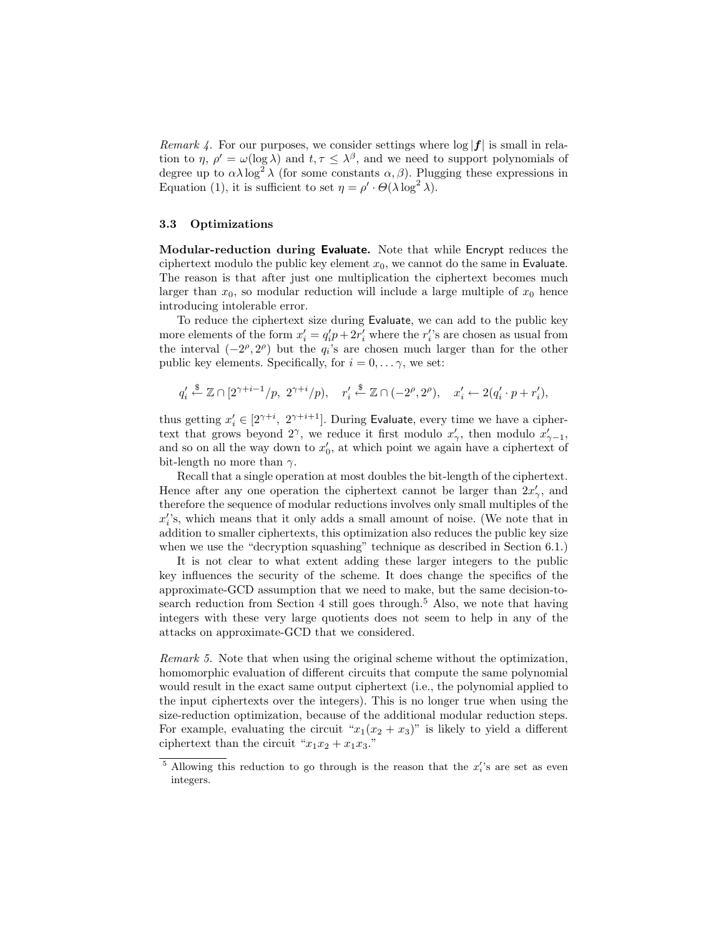Remark 4. For our purposes, we consider settings where  $\log |f|$  is small in relation to  $\eta$ ,  $\rho' = \omega(\log \lambda)$  and  $t, \tau \leq \lambda^{\beta}$ , and we need to support polynomials of degree up to  $\alpha \lambda \log^2 \lambda$  (for some constants  $\alpha, \beta$ ). Plugging these expressions in Equation (1), it is sufficient to set  $\eta = \rho' \cdot \Theta(\lambda \log^2 \lambda)$ .

### 3.3 Optimizations

Modular-reduction during Evaluate. Note that while Encrypt reduces the ciphertext modulo the public key element  $x_0$ , we cannot do the same in Evaluate. The reason is that after just one multiplication the ciphertext becomes much larger than  $x_0$ , so modular reduction will include a large multiple of  $x_0$  hence introducing intolerable error.

To reduce the ciphertext size during Evaluate, we can add to the public key more elements of the form  $x_i' = q_i'p + 2r_i'$  where the  $r_i'$ 's are chosen as usual from the interval  $(-2^{\rho}, 2^{\rho})$  but the  $q_i$ 's are chosen much larger than for the other public key elements. Specifically, for  $i = 0, \ldots, \gamma$ , we set:

$$
q'_i \xleftarrow{\$} \mathbb{Z} \cap [2^{\gamma+i-1}/p,\ 2^{\gamma+i}/p),\quad r'_i \xleftarrow{\$} \mathbb{Z} \cap (-2^\rho,2^\rho),\quad x'_i \leftarrow 2(q'_i \cdot p + r'_i),
$$

thus getting  $x'_i \in [2^{\gamma+i}, 2^{\gamma+i+1}]$ . During Evaluate, every time we have a ciphertext that grows beyond 2<sup>γ</sup>, we reduce it first modulo  $x'_{\gamma}$ , then modulo  $x'_{\gamma-1}$ , and so on all the way down to  $x'_0$ , at which point we again have a ciphertext of bit-length no more than  $\gamma$ .

Recall that a single operation at most doubles the bit-length of the ciphertext. Hence after any one operation the ciphertext cannot be larger than  $2x'_{\gamma}$ , and therefore the sequence of modular reductions involves only small multiples of the  $x_i$ 's, which means that it only adds a small amount of noise. (We note that in addition to smaller ciphertexts, this optimization also reduces the public key size when we use the "decryption squashing" technique as described in Section 6.1.)

It is not clear to what extent adding these larger integers to the public key influences the security of the scheme. It does change the specifics of the approximate-GCD assumption that we need to make, but the same decision-tosearch reduction from Section 4 still goes through.<sup>5</sup> Also, we note that having integers with these very large quotients does not seem to help in any of the attacks on approximate-GCD that we considered.

Remark 5. Note that when using the original scheme without the optimization, homomorphic evaluation of different circuits that compute the same polynomial would result in the exact same output ciphertext (i.e., the polynomial applied to the input ciphertexts over the integers). This is no longer true when using the size-reduction optimization, because of the additional modular reduction steps. For example, evaluating the circuit " $x_1(x_2 + x_3)$ " is likely to yield a different ciphertext than the circuit " $x_1x_2 + x_1x_3$ ."

<sup>&</sup>lt;sup>5</sup> Allowing this reduction to go through is the reason that the  $x_i$ 's are set as even integers.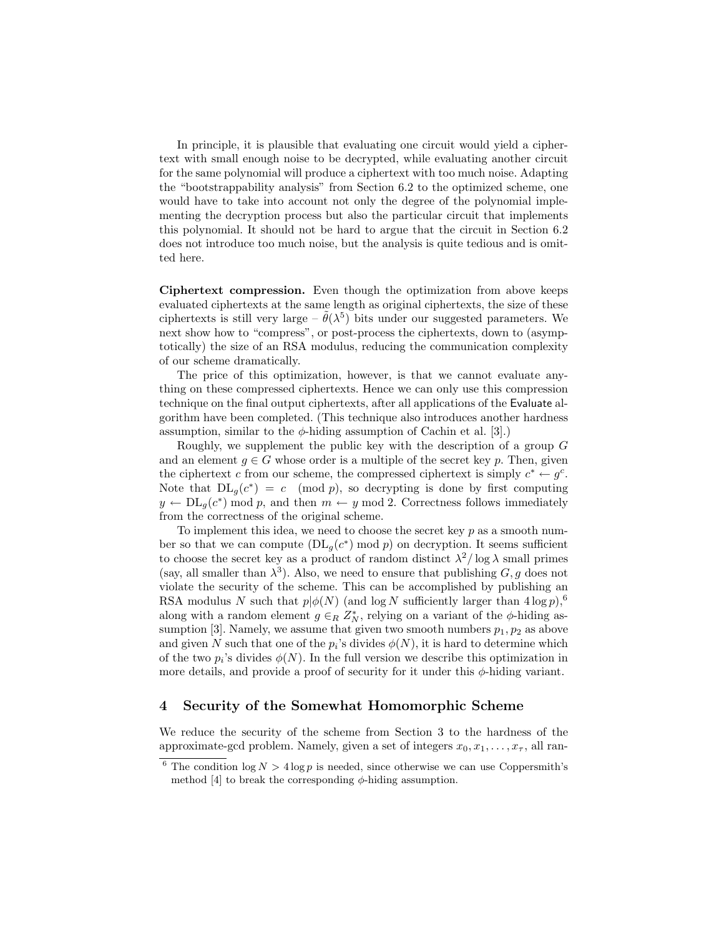In principle, it is plausible that evaluating one circuit would yield a ciphertext with small enough noise to be decrypted, while evaluating another circuit for the same polynomial will produce a ciphertext with too much noise. Adapting the "bootstrappability analysis" from Section 6.2 to the optimized scheme, one would have to take into account not only the degree of the polynomial implementing the decryption process but also the particular circuit that implements this polynomial. It should not be hard to argue that the circuit in Section 6.2 does not introduce too much noise, but the analysis is quite tedious and is omitted here.

Ciphertext compression. Even though the optimization from above keeps evaluated ciphertexts at the same length as original ciphertexts, the size of these ciphertexts is still very large –  $\tilde{\theta}(\lambda^5)$  bits under our suggested parameters. We next show how to "compress", or post-process the ciphertexts, down to (asymptotically) the size of an RSA modulus, reducing the communication complexity of our scheme dramatically.

The price of this optimization, however, is that we cannot evaluate anything on these compressed ciphertexts. Hence we can only use this compression technique on the final output ciphertexts, after all applications of the Evaluate algorithm have been completed. (This technique also introduces another hardness assumption, similar to the  $\phi$ -hiding assumption of Cachin et al. [3].)

Roughly, we supplement the public key with the description of a group G and an element  $g \in G$  whose order is a multiple of the secret key p. Then, given the ciphertext c from our scheme, the compressed ciphertext is simply  $c^* \leftarrow g^c$ . Note that  $DL<sub>g</sub>(c<sup>*</sup>) = c \pmod{p}$ , so decrypting is done by first computing  $y \leftarrow \text{DL}_g(c^*) \mod p$ , and then  $m \leftarrow y \mod 2$ . Correctness follows immediately from the correctness of the original scheme.

To implement this idea, we need to choose the secret key  $p$  as a smooth number so that we can compute  $(DL_g(c^*)) \mod p$  on decryption. It seems sufficient to choose the secret key as a product of random distinct  $\lambda^2/\log \lambda$  small primes (say, all smaller than  $\lambda^3$ ). Also, we need to ensure that publishing  $G, g$  does not violate the security of the scheme. This can be accomplished by publishing an RSA modulus N such that  $p|\phi(N)$  (and log N sufficiently larger than  $4\log p$ ),<sup>6</sup> along with a random element  $g \in_R Z_N^*$ , relying on a variant of the  $\phi$ -hiding assumption [3]. Namely, we assume that given two smooth numbers  $p_1, p_2$  as above and given N such that one of the  $p_i$ 's divides  $\phi(N)$ , it is hard to determine which of the two  $p_i$ 's divides  $\phi(N)$ . In the full version we describe this optimization in more details, and provide a proof of security for it under this  $\phi$ -hiding variant.

# 4 Security of the Somewhat Homomorphic Scheme

We reduce the security of the scheme from Section 3 to the hardness of the approximate-gcd problem. Namely, given a set of integers  $x_0, x_1, \ldots, x_{\tau}$ , all ran-

<sup>&</sup>lt;sup>6</sup> The condition  $\log N > 4 \log p$  is needed, since otherwise we can use Coppersmith's method [4] to break the corresponding  $\phi$ -hiding assumption.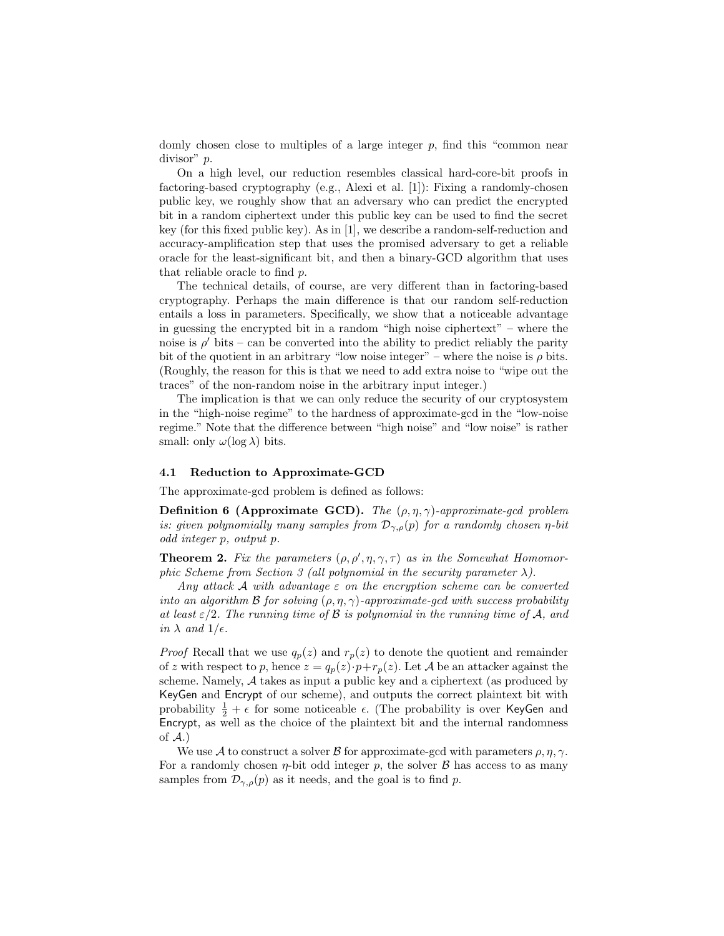domly chosen close to multiples of a large integer  $p$ , find this "common near divisor" p.

On a high level, our reduction resembles classical hard-core-bit proofs in factoring-based cryptography (e.g., Alexi et al. [1]): Fixing a randomly-chosen public key, we roughly show that an adversary who can predict the encrypted bit in a random ciphertext under this public key can be used to find the secret key (for this fixed public key). As in [1], we describe a random-self-reduction and accuracy-amplification step that uses the promised adversary to get a reliable oracle for the least-significant bit, and then a binary-GCD algorithm that uses that reliable oracle to find p.

The technical details, of course, are very different than in factoring-based cryptography. Perhaps the main difference is that our random self-reduction entails a loss in parameters. Specifically, we show that a noticeable advantage in guessing the encrypted bit in a random "high noise ciphertext" – where the noise is  $\rho'$  bits – can be converted into the ability to predict reliably the parity bit of the quotient in an arbitrary "low noise integer" – where the noise is  $\rho$  bits. (Roughly, the reason for this is that we need to add extra noise to "wipe out the traces" of the non-random noise in the arbitrary input integer.)

The implication is that we can only reduce the security of our cryptosystem in the "high-noise regime" to the hardness of approximate-gcd in the "low-noise regime." Note that the difference between "high noise" and "low noise" is rather small: only  $\omega(\log \lambda)$  bits.

#### 4.1 Reduction to Approximate-GCD

The approximate-gcd problem is defined as follows:

**Definition 6 (Approximate GCD).** The  $(\rho, \eta, \gamma)$ -approximate-gcd problem is: given polynomially many samples from  $\mathcal{D}_{\gamma,\rho}(p)$  for a randomly chosen  $\eta$ -bit odd integer p, output p.

**Theorem 2.** Fix the parameters  $(\rho, \rho', \eta, \gamma, \tau)$  as in the Somewhat Homomorphic Scheme from Section 3 (all polynomial in the security parameter  $\lambda$ ).

Any attack A with advantage  $\varepsilon$  on the encryption scheme can be converted into an algorithm B for solving  $(\rho, \eta, \gamma)$ -approximate-gcd with success probability at least  $\varepsilon/2$ . The running time of  $\beta$  is polynomial in the running time of  $\mathcal{A}$ , and in  $\lambda$  and  $1/\epsilon$ .

*Proof* Recall that we use  $q_p(z)$  and  $r_p(z)$  to denote the quotient and remainder of z with respect to p, hence  $z = q_p(z) \cdot p + r_p(z)$ . Let A be an attacker against the scheme. Namely, A takes as input a public key and a ciphertext (as produced by KeyGen and Encrypt of our scheme), and outputs the correct plaintext bit with probability  $\frac{1}{2} + \epsilon$  for some noticeable  $\epsilon$ . (The probability is over KeyGen and Encrypt, as well as the choice of the plaintext bit and the internal randomness of  $\mathcal{A}$ .)

We use A to construct a solver B for approximate-gcd with parameters  $\rho, \eta, \gamma$ . For a randomly chosen  $\eta$ -bit odd integer p, the solver  $\beta$  has access to as many samples from  $\mathcal{D}_{\gamma,\rho}(p)$  as it needs, and the goal is to find p.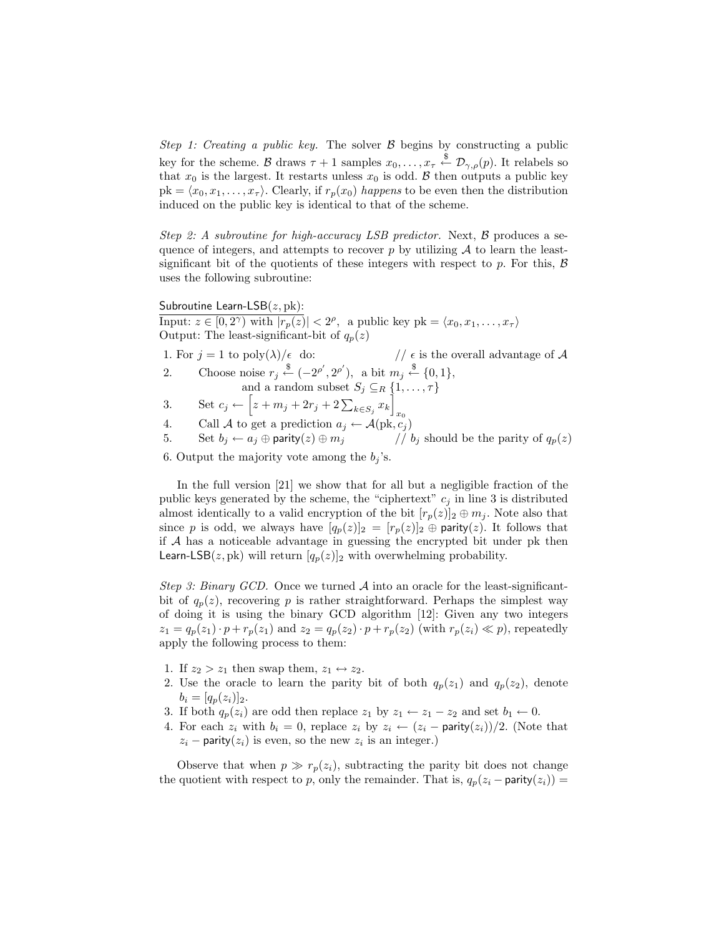Step 1: Creating a public key. The solver  $\beta$  begins by constructing a public key for the scheme. B draws  $\tau + 1$  samples  $x_0, \ldots, x_{\tau} \stackrel{\$}{\leftarrow} \mathcal{D}_{\gamma,\rho}(p)$ . It relabels so that  $x_0$  is the largest. It restarts unless  $x_0$  is odd. B then outputs a public key  $pk = \langle x_0, x_1, \ldots, x_\tau \rangle$ . Clearly, if  $r_p(x_0)$  happens to be even then the distribution induced on the public key is identical to that of the scheme.

Step 2: A subroutine for high-accuracy LSB predictor. Next,  $\beta$  produces a sequence of integers, and attempts to recover p by utilizing  $A$  to learn the leastsignificant bit of the quotients of these integers with respect to p. For this,  $\beta$ uses the following subroutine:

Subroutine Learn-LSB $(z, \text{pk})$ :

Input:  $z \in [0, 2^{\gamma})$  with  $|r_p(z)| < 2^{\rho}$ , a public key pk =  $\langle x_0, x_1, \ldots, x_{\tau} \rangle$ Output: The least-significant-bit of  $q_p(z)$ 

- 1. For  $j = 1$  to poly $(\lambda)/\epsilon$  do:  $\ell/\epsilon$  is the overall advantage of A 2. Choose noise  $r_j \stackrel{\$}{\leftarrow} (-2^{\rho'}, 2^{\rho'}),$  a bit  $m_j \stackrel{\$}{\leftarrow} \{0,1\},$ and a random subset  $S_j \subseteq_R \{1, \ldots, \tau\}$
- 3. Set  $c_j \leftarrow \left[ z + m_j + 2r_j + 2\sum_{k \in S_j} x_k \right]_{x_0}$
- 4. Call A to get a prediction  $a_j \leftarrow \mathcal{A}(\text{pk}, c_j)$

5. Set  $b_j \leftarrow a_j \oplus$  parity $(z) \oplus m_j$  //  $b_j$  should be the parity of  $q_p(z)$ 

6. Output the majority vote among the  $b_j$ 's.

In the full version [21] we show that for all but a negligible fraction of the public keys generated by the scheme, the "ciphertext"  $c_j$  in line 3 is distributed almost identically to a valid encryption of the bit  $[r_p(z)]_2 \oplus m_j$ . Note also that since p is odd, we always have  $[q_p(z)]_2 = [r_p(z)]_2 \oplus$  parity(z). It follows that if  $A$  has a noticeable advantage in guessing the encrypted bit under pk then Learn-LSB(z, pk) will return  $[q_p(z)]_2$  with overwhelming probability.

Step 3: Binary GCD. Once we turned  $A$  into an oracle for the least-significantbit of  $q_p(z)$ , recovering p is rather straightforward. Perhaps the simplest way of doing it is using the binary GCD algorithm [12]: Given any two integers  $z_1 = q_p(z_1) \cdot p + r_p(z_1)$  and  $z_2 = q_p(z_2) \cdot p + r_p(z_2)$  (with  $r_p(z_i) \ll p$ ), repeatedly apply the following process to them:

- 1. If  $z_2 > z_1$  then swap them,  $z_1 \leftrightarrow z_2$ .
- 2. Use the oracle to learn the parity bit of both  $q_p(z_1)$  and  $q_p(z_2)$ , denote  $b_i = [q_p(z_i)]_2.$
- 3. If both  $q_p(z_i)$  are odd then replace  $z_1$  by  $z_1 \leftarrow z_1 z_2$  and set  $b_1 \leftarrow 0$ .
- 4. For each  $z_i$  with  $b_i = 0$ , replace  $z_i$  by  $z_i \leftarrow (z_i \text{parity}(z_i))/2$ . (Note that  $z_i$  – parity $(z_i)$  is even, so the new  $z_i$  is an integer.)

Observe that when  $p \gg r_p(z_i)$ , subtracting the parity bit does not change the quotient with respect to p, only the remainder. That is,  $q_p(z_i - \text{parity}(z_i)) =$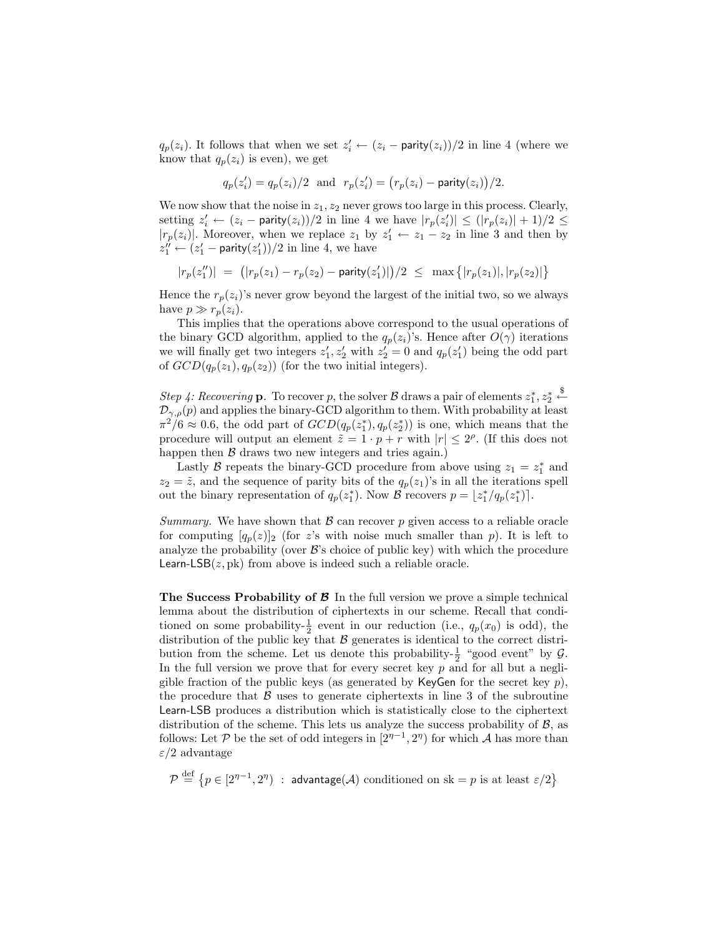$q_p(z_i)$ . It follows that when we set  $z'_i \leftarrow (z_i - \text{parity}(z_i))/2$  in line 4 (where we know that  $q_p(z_i)$  is even), we get

$$
q_p(z'_i) = q_p(z_i)/2
$$
 and  $r_p(z'_i) = (r_p(z_i) - \text{parity}(z_i))/2$ .

We now show that the noise in  $z_1, z_2$  never grows too large in this process. Clearly, setting  $z'_i \leftarrow (z_i - \text{parity}(z_i))/2$  in line 4 we have  $|r_p(z'_i)| \leq (|r_p(z_i)| + 1)/2 \leq$  $|r_p(z_i)|$ . Moreover, when we replace  $z_1$  by  $z'_1 \leftarrow z_1 - z_2$  in line 3 and then by  $z_1'' \leftarrow (z_1' - \text{parity}(z_1'))/2$  in line 4, we have

$$
|r_p(z_1'')| = (|r_p(z_1) - r_p(z_2) - \text{parity}(z_1')|)/2 \leq \max\{|r_p(z_1)|, |r_p(z_2)|\}
$$

Hence the  $r_p(z_i)$ 's never grow beyond the largest of the initial two, so we always have  $p \gg r_p(z_i)$ .

This implies that the operations above correspond to the usual operations of the binary GCD algorithm, applied to the  $q_p(z_i)$ 's. Hence after  $O(\gamma)$  iterations we will finally get two integers  $z'_1, z'_2$  with  $z'_2 = 0$  and  $q_p(z'_1)$  being the odd part of  $GCD(q_p(z_1), q_p(z_2))$  (for the two initial integers).

Step 4: Recovering **p**. To recover p, the solver B draws a pair of elements  $z_1^*, z_2^* \stackrel{\$}{\leftarrow}$  $\mathcal{D}_{\gamma,\rho}(p)$  and applies the binary-GCD algorithm to them. With probability at least  $\pi^2/6 \approx 0.6$ , the odd part of  $GCD(q_p(z_1^*), q_p(z_2^*))$  is one, which means that the procedure will output an element  $\tilde{z} = 1 \cdot p + r$  with  $|r| \leq 2^{\rho}$ . (If this does not happen then  $\beta$  draws two new integers and tries again.)

Lastly B repeats the binary-GCD procedure from above using  $z_1 = z_1^*$  and  $z_2 = \tilde{z}$ , and the sequence of parity bits of the  $q_p(z_1)$ 's in all the iterations spell out the binary representation of  $q_p(z_1^*)$ . Now B recovers  $p = \lfloor z_1^*/q_p(z_1^*) \rfloor$ .

Summary. We have shown that  $\beta$  can recover p given access to a reliable oracle for computing  $[q_p(z)]_2$  (for z's with noise much smaller than p). It is left to analyze the probability (over  $\mathcal{B}$ 's choice of public key) with which the procedure Learn-LSB $(z, pk)$  from above is indeed such a reliable oracle.

The Success Probability of  $\beta$  In the full version we prove a simple technical lemma about the distribution of ciphertexts in our scheme. Recall that conditioned on some probability- $\frac{1}{2}$  event in our reduction (i.e.,  $q_p(x_0)$  is odd), the distribution of the public key that  $\beta$  generates is identical to the correct distribution from the scheme. Let us denote this probability- $\frac{1}{2}$  "good event" by  $\mathcal{G}$ . In the full version we prove that for every secret key  $p$  and for all but a negligible fraction of the public keys (as generated by KeyGen for the secret key  $p$ ), the procedure that  $\beta$  uses to generate ciphertexts in line 3 of the subroutine Learn-LSB produces a distribution which is statistically close to the ciphertext distribution of the scheme. This lets us analyze the success probability of  $\beta$ , as follows: Let P be the set of odd integers in  $[2^{n-1}, 2^n)$  for which A has more than ε/2 advantage

$$
\mathcal{P} \stackrel{\text{def}}{=} \big\{ p \in [2^{\eta-1}, 2^{\eta}) \ : \ \text{advantage}(\mathcal{A}) \text{ conditioned on sk} = p \text{ is at least } \varepsilon/2 \big\}
$$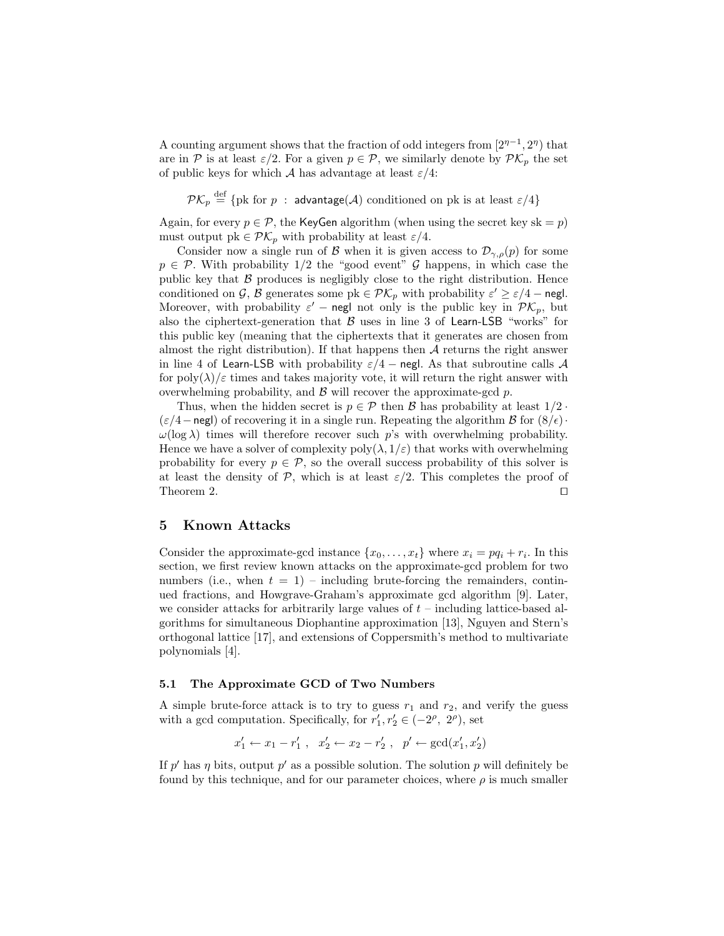A counting argument shows that the fraction of odd integers from  $[2<sup>{\eta-1}</sup>, 2<sup>{\eta}</sup>)$  that are in P is at least  $\varepsilon/2$ . For a given  $p \in \mathcal{P}$ , we similarly denote by  $\mathcal{PK}_p$  the set of public keys for which A has advantage at least  $\varepsilon/4$ :

 $\mathcal{PK}_p \stackrel{\text{def}}{=} \{\text{pk for } p \; : \; \text{advantage}(\mathcal{A}) \text{ conditioned on pk is at least } \varepsilon/4\}$ 

Again, for every  $p \in \mathcal{P}$ , the KeyGen algorithm (when using the secret key sk = p) must output pk  $\in$   $\mathcal{PK}_p$  with probability at least  $\varepsilon/4$ .

Consider now a single run of B when it is given access to  $\mathcal{D}_{\gamma,\rho}(p)$  for some  $p \in \mathcal{P}$ . With probability 1/2 the "good event" G happens, in which case the public key that  $\beta$  produces is negligibly close to the right distribution. Hence conditioned on G, B generates some  $pk \in \mathcal{PK}_p$  with probability  $\varepsilon' \geq \varepsilon/4$  – negl. Moreover, with probability  $\varepsilon'$  – negl not only is the public key in  $\mathcal{PK}_p$ , but also the ciphertext-generation that  $\beta$  uses in line 3 of Learn-LSB "works" for this public key (meaning that the ciphertexts that it generates are chosen from almost the right distribution). If that happens then  $A$  returns the right answer in line 4 of Learn-LSB with probability  $\varepsilon/4$  – negl. As that subroutine calls A for  $\text{poly}(\lambda)/\varepsilon$  times and takes majority vote, it will return the right answer with overwhelming probability, and  $\beta$  will recover the approximate-gcd p.

Thus, when the hidden secret is  $p \in \mathcal{P}$  then  $\mathcal B$  has probability at least  $1/2$ .  $(\varepsilon/4 - \text{negl})$  of recovering it in a single run. Repeating the algorithm B for  $(8/\varepsilon)$ ·  $\omega(\log \lambda)$  times will therefore recover such p's with overwhelming probability. Hence we have a solver of complexity  $poly(\lambda, 1/\varepsilon)$  that works with overwhelming probability for every  $p \in \mathcal{P}$ , so the overall success probability of this solver is at least the density of P, which is at least  $\varepsilon/2$ . This completes the proof of Theorem 2.  $\Box$ 

# 5 Known Attacks

Consider the approximate-gcd instance  $\{x_0, \ldots, x_t\}$  where  $x_i = pq_i + r_i$ . In this section, we first review known attacks on the approximate-gcd problem for two numbers (i.e., when  $t = 1$ ) – including brute-forcing the remainders, continued fractions, and Howgrave-Graham's approximate gcd algorithm [9]. Later, we consider attacks for arbitrarily large values of  $t$  – including lattice-based algorithms for simultaneous Diophantine approximation [13], Nguyen and Stern's orthogonal lattice [17], and extensions of Coppersmith's method to multivariate polynomials [4].

### 5.1 The Approximate GCD of Two Numbers

A simple brute-force attack is to try to guess  $r_1$  and  $r_2$ , and verify the guess with a gcd computation. Specifically, for  $r'_1, r'_2 \in (-2^{\rho}, 2^{\rho}),$  set

$$
x'_1 \leftarrow x_1 - r'_1 \ , \ x'_2 \leftarrow x_2 - r'_2 \ , \ p' \leftarrow \gcd(x'_1, x'_2)
$$

If p' has  $\eta$  bits, output p' as a possible solution. The solution p will definitely be found by this technique, and for our parameter choices, where  $\rho$  is much smaller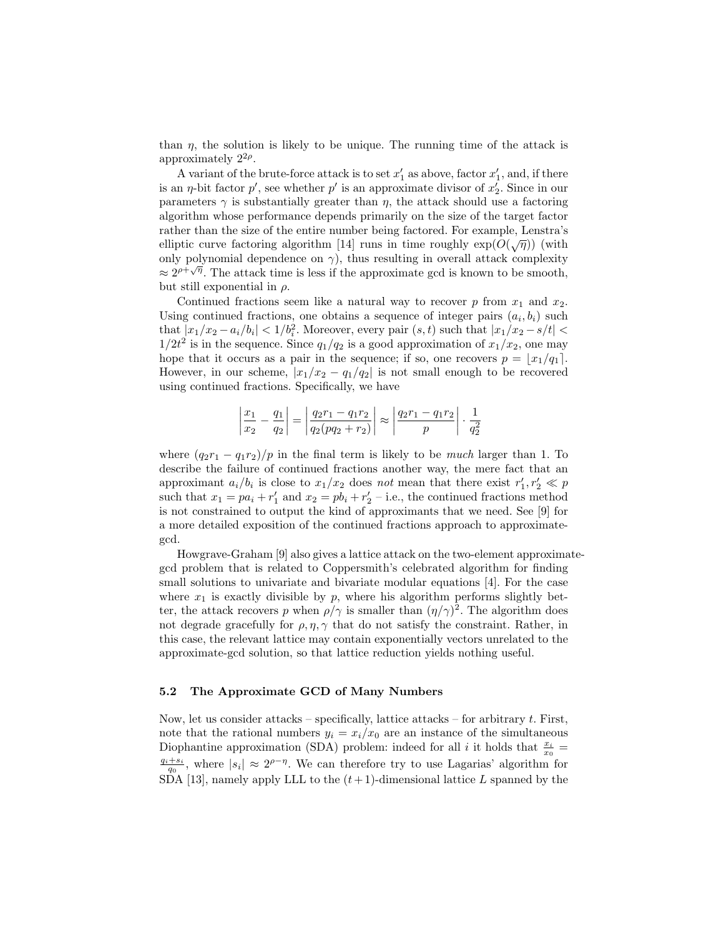than  $\eta$ , the solution is likely to be unique. The running time of the attack is approximately  $2^{2\rho}$ .

A variant of the brute-force attack is to set  $x'_1$  as above, factor  $x'_1$ , and, if there is an  $\eta$ -bit factor  $p'$ , see whether  $p'$  is an approximate divisor of  $x'_2$ . Since in our parameters  $\gamma$  is substantially greater than  $\eta$ , the attack should use a factoring algorithm whose performance depends primarily on the size of the target factor rather than the size of the entire number being factored. For example, Lenstra's Fraction than the size of the eighted humber being factored. For example, Lenstra's elliptic curve factoring algorithm [14] runs in time roughly  $\exp(O(\sqrt{\eta}))$  (with only polynomial dependence on  $\gamma$ ), thus resulting in overall attack complexity  $\approx 2^{\rho + \sqrt{\eta}}$ . The attack time is less if the approximate gcd is known to be smooth, but still exponential in  $\rho$ .

Continued fractions seem like a natural way to recover  $p$  from  $x_1$  and  $x_2$ . Using continued fractions, one obtains a sequence of integer pairs  $(a_i, b_i)$  such that  $|x_1/x_2 - a_i/b_i| < 1/b_i^2$ . Moreover, every pair  $(s, t)$  such that  $|x_1/x_2 - s/t|$  $1/2t^2$  is in the sequence. Since  $q_1/q_2$  is a good approximation of  $x_1/x_2$ , one may hope that it occurs as a pair in the sequence; if so, one recovers  $p = |x_1/q_1|$ . However, in our scheme,  $|x_1/x_2 - q_1/q_2|$  is not small enough to be recovered using continued fractions. Specifically, we have

$$
\left|\frac{x_1}{x_2} - \frac{q_1}{q_2}\right| = \left|\frac{q_2r_1 - q_1r_2}{q_2(pq_2 + r_2)}\right| \approx \left|\frac{q_2r_1 - q_1r_2}{p}\right| \cdot \frac{1}{q_2^2}
$$

where  $(q_2r_1 - q_1r_2)/p$  in the final term is likely to be *much* larger than 1. To describe the failure of continued fractions another way, the mere fact that an approximant  $a_i/b_i$  is close to  $x_1/x_2$  does not mean that there exist  $r'_1, r'_2 \ll p$ such that  $x_1 = pa_i + r'_1$  and  $x_2 = pb_i + r'_2$  – i.e., the continued fractions method is not constrained to output the kind of approximants that we need. See [9] for a more detailed exposition of the continued fractions approach to approximategcd.

Howgrave-Graham [9] also gives a lattice attack on the two-element approximategcd problem that is related to Coppersmith's celebrated algorithm for finding small solutions to univariate and bivariate modular equations [4]. For the case where  $x_1$  is exactly divisible by  $p$ , where his algorithm performs slightly better, the attack recovers p when  $\rho/\gamma$  is smaller than  $(\eta/\gamma)^2$ . The algorithm does not degrade gracefully for  $\rho$ ,  $\eta$ ,  $\gamma$  that do not satisfy the constraint. Rather, in this case, the relevant lattice may contain exponentially vectors unrelated to the approximate-gcd solution, so that lattice reduction yields nothing useful.

#### 5.2 The Approximate GCD of Many Numbers

Now, let us consider attacks – specifically, lattice attacks – for arbitrary  $t$ . First, note that the rational numbers  $y_i = x_i/x_0$  are an instance of the simultaneous Diophantine approximation (SDA) problem: indeed for all i it holds that  $\frac{x_i}{x_0}$  =  $\frac{q_i+s_i}{q_0}$ , where  $|s_i| \approx 2^{\rho-\eta}$ . We can therefore try to use Lagarias' algorithm for SDA [13], namely apply LLL to the  $(t+1)$ -dimensional lattice L spanned by the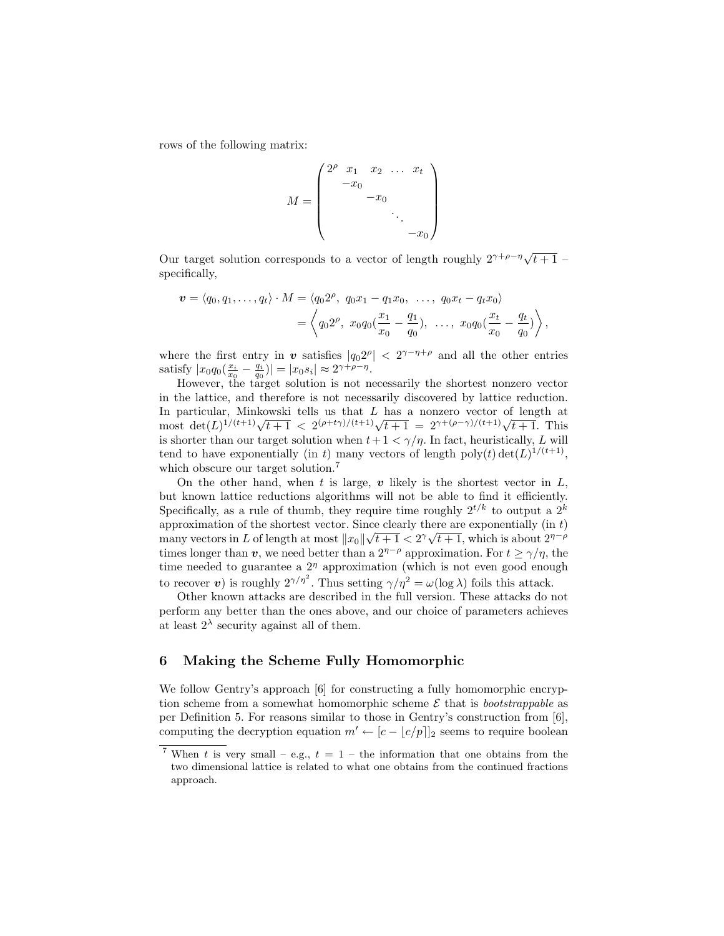rows of the following matrix:

$$
M = \begin{pmatrix} 2^{\rho} & x_1 & x_2 & \dots & x_t \\ & -x_0 & & & \\ & & -x_0 & & \\ & & & \ddots & \\ & & & & -x_0 \end{pmatrix}
$$

Our target solution corresponds to a vector of length roughly  $2^{\gamma+\rho-\eta}\sqrt{t+1}$ specifically,

$$
\mathbf{v} = \langle q_0, q_1, \dots, q_t \rangle \cdot M = \langle q_0 2^{\rho}, q_0 x_1 - q_1 x_0, \dots, q_0 x_t - q_t x_0 \rangle
$$
  
=  $\left\langle q_0 2^{\rho}, x_0 q_0 \left( \frac{x_1}{x_0} - \frac{q_1}{q_0} \right), \dots, x_0 q_0 \left( \frac{x_t}{x_0} - \frac{q_t}{q_0} \right) \right\rangle$ ,

where the first entry in v satisfies  $|q_0 2^{\rho}| < 2^{\gamma - \eta + \rho}$  and all the other entries satisfy  $|x_0 q_0(\frac{x_i}{x_0} - \frac{q_i}{q_0})| = |x_0 s_i| \approx 2^{\gamma + \rho - \eta}.$ 

However, the target solution is not necessarily the shortest nonzero vector in the lattice, and therefore is not necessarily discovered by lattice reduction. In particular, Minkowski tells us that L has a nonzero vector of length at m particular, Minkowski tells us that L has a nonzero vector of length at most  $\det(L)^{1/(t+1)}\sqrt{t+1} < 2^{(\rho+t\gamma)/(t+1)}\sqrt{t+1} = 2^{\gamma+(\rho-\gamma)/(t+1)}\sqrt{t+1}$ . This is shorter than our target solution when  $t + 1 < \gamma/\eta$ . In fact, heuristically, L will tend to have exponentially (in t) many vectors of length  $\text{poly}(t) \det(L)^{1/(t+1)}$ , which obscure our target solution.<sup>7</sup>

On the other hand, when t is large,  $\boldsymbol{v}$  likely is the shortest vector in  $L$ , but known lattice reductions algorithms will not be able to find it efficiently. Specifically, as a rule of thumb, they require time roughly  $2^{t/k}$  to output a  $2^k$ approximation of the shortest vector. Since clearly there are exponentially  $(in t)$ many vectors in L of length at most  $||x_0||\sqrt{t+1} < 2^{\gamma}\sqrt{t+1}$ , which is about  $2^{\eta-\rho}$ times longer than v, we need better than a  $2^{\eta-\rho}$  approximation. For  $t \geq \gamma/\eta$ , the time needed to guarantee a  $2<sup>\eta</sup>$  approximation (which is not even good enough to recover v) is roughly  $2^{\gamma/\eta^2}$ . Thus setting  $\gamma/\eta^2 = \omega(\log \lambda)$  foils this attack.

Other known attacks are described in the full version. These attacks do not perform any better than the ones above, and our choice of parameters achieves at least  $2^{\lambda}$  security against all of them.

# 6 Making the Scheme Fully Homomorphic

We follow Gentry's approach [6] for constructing a fully homomorphic encryption scheme from a somewhat homomorphic scheme  $\mathcal E$  that is *bootstrappable* as per Definition 5. For reasons similar to those in Gentry's construction from [6], computing the decryption equation  $m' \leftarrow [c - \lfloor c/p \rfloor]_2$  seems to require boolean

<sup>&</sup>lt;sup>7</sup> When t is very small – e.g.,  $t = 1$  – the information that one obtains from the two dimensional lattice is related to what one obtains from the continued fractions approach.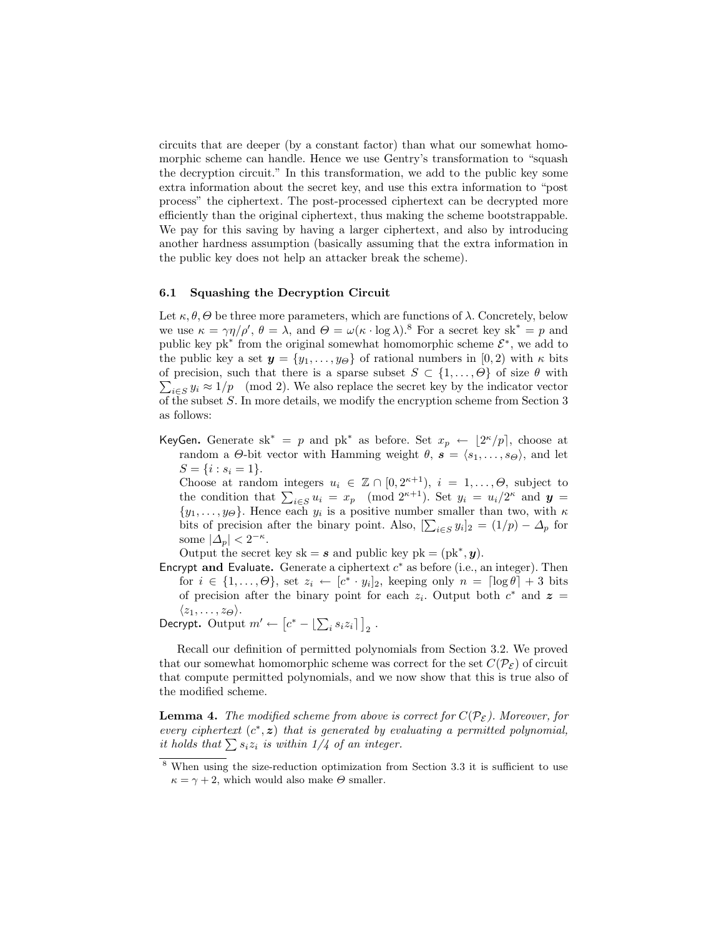circuits that are deeper (by a constant factor) than what our somewhat homomorphic scheme can handle. Hence we use Gentry's transformation to "squash the decryption circuit." In this transformation, we add to the public key some extra information about the secret key, and use this extra information to "post process" the ciphertext. The post-processed ciphertext can be decrypted more efficiently than the original ciphertext, thus making the scheme bootstrappable. We pay for this saving by having a larger ciphertext, and also by introducing another hardness assumption (basically assuming that the extra information in the public key does not help an attacker break the scheme).

### 6.1 Squashing the Decryption Circuit

Let  $\kappa, \theta, \Theta$  be three more parameters, which are functions of  $\lambda$ . Concretely, below we use  $\kappa = \gamma \eta / \rho'$ ,  $\theta = \lambda$ , and  $\Theta = \omega (\kappa \cdot \log \lambda)^8$  For a secret key sk<sup>\*</sup> = p and public key pk<sup>\*</sup> from the original somewhat homomorphic scheme  $\mathcal{E}^*$ , we add to the public key a set  $y = \{y_1, \ldots, y_{\Theta}\}\$  of rational numbers in  $[0, 2)$  with  $\kappa$  bits of precision, such that there is a sparse subset  $S \subset \{1, \ldots, \Theta\}$  of size  $\theta$  with  $i \in S$   $y_i \approx 1/p$  (mod 2). We also replace the secret key by the indicator vector of the subset S. In more details, we modify the encryption scheme from Section 3 as follows:

KeyGen. Generate sk<sup>\*</sup> = p and pk<sup>\*</sup> as before. Set  $x_p \leftarrow \lfloor 2^{k}/p \rfloor$ , choose at random a  $\Theta$ -bit vector with Hamming weight  $\theta$ ,  $\mathbf{s} = \langle s_1, \ldots, s_{\Theta} \rangle$ , and let  $S = \{i : s_i = 1\}.$ 

Choose at random integers  $u_i \in \mathbb{Z} \cap [0, 2^{\kappa+1}), i = 1, ..., \Theta$ , subject to Choose at random integers  $u_i \in \mathbb{Z} \cap [0, 2^{\infty}]$ ,  $i = 1, ..., \varTheta$ , subject to the condition that  $\sum_{i \in S} u_i = x_p \pmod{2^{\kappa+1}}$ . Set  $y_i = u_i/2^{\kappa}$  and  $y =$  ${y_1, \ldots, y_\Theta}$ . Hence each  $y_i$  is a positive number smaller than two, with  $\kappa$  $\{y_1, \ldots, y_{\Theta}\}\$ . Hence each  $y_i$  is a positive number smaller than two, with  $\kappa$  bits of precision after the binary point. Also,  $[\sum_{i \in S} y_i]_2 = (1/p) - \Delta_p$  for some  $|\Delta_p| < 2^{-\kappa}$ .

Output the secret key sk = s and public key pk =  $(\text{pk}^*, y)$ .

Encrypt and Evaluate. Generate a ciphertext  $c^*$  as before (i.e., an integer). Then for  $i \in \{1,\ldots,\Theta\}$ , set  $z_i \leftarrow [c^* \cdot y_i]_2$ , keeping only  $n = \lceil \log \theta \rceil + 3$  bits of precision after the binary point for each  $z_i$ . Output both  $c^*$  and  $z =$  $\langle z_1, \ldots, z_{\Theta} \rangle$ . ¤

 $\langle z_1, \ldots, z_{\Theta} \rangle$ .<br>Decrypt. Output  $m' \leftarrow \lceil$  $c^* - \left[\sum_i s_i z_i\right]$  $\frac{1}{2}$ .

Recall our definition of permitted polynomials from Section 3.2. We proved that our somewhat homomorphic scheme was correct for the set  $C(\mathcal{P}_{\mathcal{E}})$  of circuit that compute permitted polynomials, and we now show that this is true also of the modified scheme.

**Lemma 4.** The modified scheme from above is correct for  $C(\mathcal{P}_{\varepsilon})$ . Moreover, for every ciphertext  $(c^*, z)$  that is generated by evaluating a permitted polynomial, it holds that  $\sum s_i z_i$  is within 1/4 of an integer.

<sup>8</sup> When using the size-reduction optimization from Section 3.3 it is sufficient to use  $\kappa = \gamma + 2$ , which would also make  $\Theta$  smaller.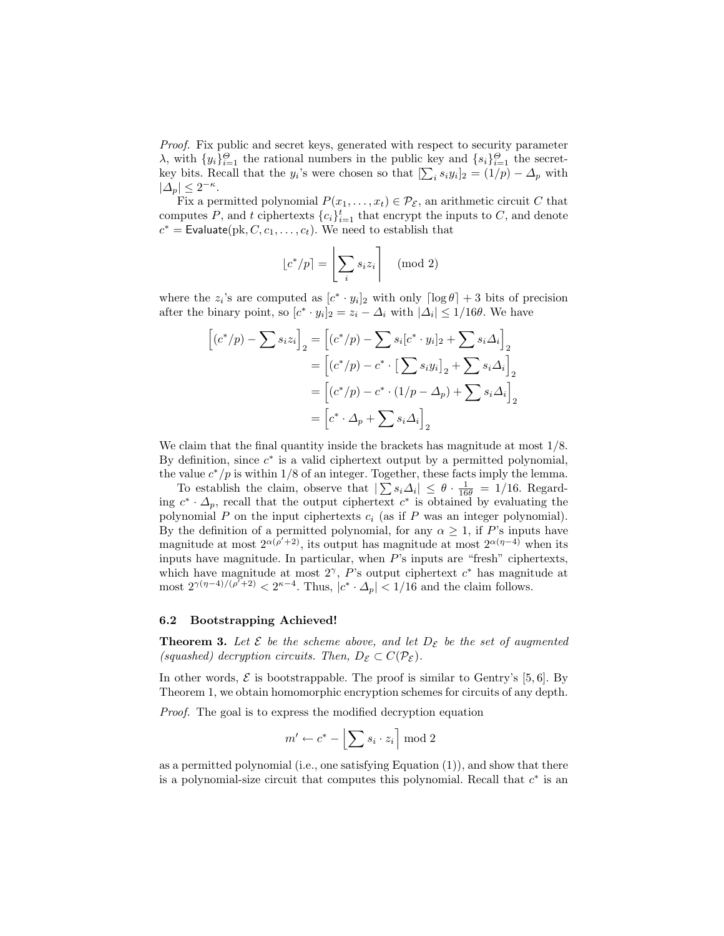Proof. Fix public and secret keys, generated with respect to security parameter  $\lambda$ , with  $\{y_i\}_{i=1}^{\Theta}$  the rational numbers in the public key and  $\{s_i\}_{i=1}^{\Theta}$  the secret-A, with  $\{y_i\}_{i=1}^{\infty}$  the rational numbers in the public key and  $\{s_i\}_{i=1}^{\infty}$  the secret-<br>key bits. Recall that the  $y_i$ 's were chosen so that  $[\sum_i s_i y_i]_2 = (1/p) - \Delta_p$  with  $|\Delta_p| \leq 2^{-\kappa}.$ 

Fix a permitted polynomial  $P(x_1, \ldots, x_t) \in \mathcal{P}_{\mathcal{E}}$ , an arithmetic circuit C that computes P, and t ciphertexts  ${c_i}_{i=1}^t$  that encrypt the inputs to C, and denote  $c^* =$  Evaluate(pk,  $C, c_1, \ldots, c_t$ ). We need to establish that

$$
\lfloor c^*/p \rceil = \left\lfloor \sum_i s_i z_i \right\rceil \pmod{2}
$$

where the  $z_i$ 's are computed as  $[c^* \cdot y_i]_2$  with only  $\lceil \log \theta \rceil + 3$  bits of precision after the binary point, so  $[c^* \cdot y_i]_2 = z_i - \Delta_i$  with  $|\Delta_i| \leq 1/16\theta$ . We have

$$
\begin{aligned}\n\left[ (c^*/p) - \sum s_i z_i \right]_2 &= \left[ (c^*/p) - \sum s_i [c^* \cdot y_i]_2 + \sum s_i \Delta_i \right]_2 \\
&= \left[ (c^*/p) - c^* \cdot \left[ \sum s_i y_i \right]_2 + \sum s_i \Delta_i \right]_2 \\
&= \left[ (c^*/p) - c^* \cdot (1/p - \Delta_p) + \sum s_i \Delta_i \right]_2 \\
&= \left[ c^* \cdot \Delta_p + \sum s_i \Delta_i \right]_2\n\end{aligned}
$$

We claim that the final quantity inside the brackets has magnitude at most  $1/8$ . By definition, since  $c^*$  is a valid ciphertext output by a permitted polynomial, the value  $c^*/p$  is within 1/8 of an integer. Together, these facts imply the lemma.

value c /p is within 1/8 of an integer. Together, these facts imply the feminal.<br>To establish the claim, observe that  $|\sum s_i \Delta_i| \le \theta \cdot \frac{1}{16\theta} = 1/16$ . Regarding  $c^* \cdot \Delta_p$ , recall that the output ciphertext  $c^*$  is obtained by evaluating the polynomial  $P$  on the input ciphertexts  $c_i$  (as if  $P$  was an integer polynomial). By the definition of a permitted polynomial, for any  $\alpha \geq 1$ , if P's inputs have magnitude at most  $2^{\alpha(\rho'+2)}$ , its output has magnitude at most  $2^{\alpha(\eta-4)}$  when its inputs have magnitude. In particular, when P's inputs are "fresh" ciphertexts, which have magnitude at most  $2^{\gamma}$ , P's output ciphertext  $c^*$  has magnitude at most  $2^{\gamma(\eta-4)/(\rho^2+2)} < 2^{\kappa-4}$ . Thus,  $|c^* \cdot \Delta_p| < 1/16$  and the claim follows.

#### 6.2 Bootstrapping Achieved!

**Theorem 3.** Let  $\mathcal{E}$  be the scheme above, and let  $D_{\mathcal{E}}$  be the set of augmented (squashed) decryption circuits. Then,  $D_{\mathcal{E}} \subset C(\mathcal{P}_{\mathcal{E}})$ .

In other words,  $\mathcal E$  is bootstrappable. The proof is similar to Gentry's [5,6]. By Theorem 1, we obtain homomorphic encryption schemes for circuits of any depth.

Proof. The goal is to express the modified decryption equation

$$
m' \leftarrow c^* - \left\lfloor \sum s_i \cdot z_i \right\rceil \bmod 2
$$

as a permitted polynomial (i.e., one satisfying Equation (1)), and show that there is a polynomial-size circuit that computes this polynomial. Recall that  $c^*$  is an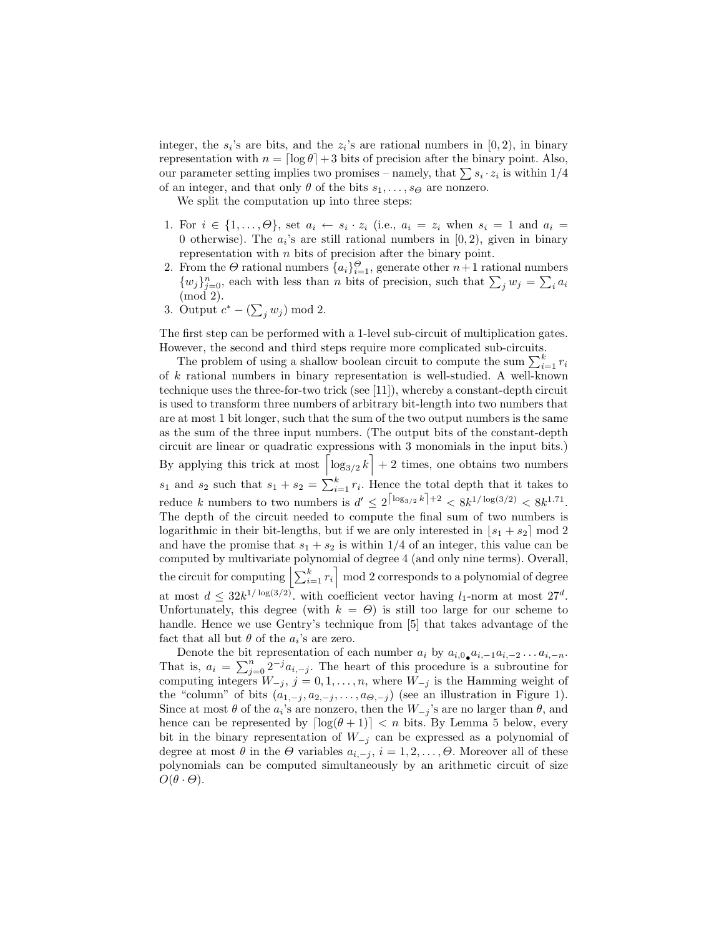integer, the  $s_i$ 's are bits, and the  $z_i$ 's are rational numbers in  $[0, 2)$ , in binary representation with  $n = \lfloor \log \theta \rfloor + 3$  bits of precision after the binary point. Also, representation with  $n = |\log \sigma| + 3$  bits of precision after the binary point. Also,<br>our parameter setting implies two promises – namely, that  $\sum s_i \cdot z_i$  is within  $1/4$ of an integer, and that only  $\theta$  of the bits  $s_1, \ldots, s_{\Theta}$  are nonzero.

We split the computation up into three steps:

- 1. For  $i \in \{1,\ldots,\Theta\}$ , set  $a_i \leftarrow s_i \cdot z_i$  (i.e.,  $a_i = z_i$  when  $s_i = 1$  and  $a_i =$ 0 otherwise). The  $a_i$ 's are still rational numbers in  $[0, 2)$ , given in binary representation with *n* bits of precision after the binary point.
- 2. From the  $\Theta$  rational numbers  $\{a_i\}_{i=1}^{\Theta}$ , generate other  $n+1$  rational numbers From the  $\Theta$  rational numbers  $\{a_i\}_{i=1}^{\infty}$ , generate other  $n+1$  rational numbers  $\{w_j\}_{j=0}^n$ , each with less than n bits of precision, such that  $\sum_j w_j = \sum_i a_i$ (mod 2).
- (mod 2).<br>3. Output  $c^* (\sum_j w_j) \mod 2$ .

The first step can be performed with a 1-level sub-circuit of multiplication gates. However, the second and third steps require more complicated sub-circuits.

wever, the second and third steps require more compileated sub-circuits.<br>The problem of using a shallow boolean circuit to compute the sum  $\sum_{i=1}^{k} r_i$ of k rational numbers in binary representation is well-studied. A well-known technique uses the three-for-two trick (see [11]), whereby a constant-depth circuit is used to transform three numbers of arbitrary bit-length into two numbers that are at most 1 bit longer, such that the sum of the two output numbers is the same as the sum of the three input numbers. (The output bits of the constant-depth circuit are linear or quadratic expressions with 3 monomials in the input bits.) m circuit are inear or quadratic expressions with 3 monomials in the input bits.)<br>By applying this trick at most  $\left[\log_{3/2} k\right] + 2$  times, one obtains two numbers  $s_1$  and  $s_2$  such that  $s_1 + s_2 = \sum_{i=1}^{k} r_i$ . Hence the total depth that it takes to reduce k numbers to two numbers is  $d' \leq 2^{\lceil \log_{3/2} k \rceil + 2} < 8k^{1/\log(3/2)} < 8k^{1.71}$ . The depth of the circuit needed to compute the final sum of two numbers is logarithmic in their bit-lengths, but if we are only interested in  $\lfloor s_1 + s_2 \rfloor$  mod 2 and have the promise that  $s_1 + s_2$  is within 1/4 of an integer, this value can be computed by multivariate polynomial of degree 4 (and only nine terms). Overall, m computed by multivariate polynomial of degree 4 (and only nine terms). Overall,<br>the circuit for computing  $\left|\sum_{i=1}^{k} r_i\right|$  mod 2 corresponds to a polynomial of degree at most  $d \leq 32k^{1/\log(3/2)}$ , with coefficient vector having  $l_1$ -norm at most  $27^d$ . Unfortunately, this degree (with  $k = \Theta$ ) is still too large for our scheme to handle. Hence we use Gentry's technique from [5] that takes advantage of the fact that all but  $\theta$  of the  $a_i$ 's are zero.

Denote the bit representation of each number  $a_i$  by  $a_{i,0,\bullet}a_{i,-1}a_{i,-2}\ldots a_{i,-n}$ . Denote the bit representation of each number  $a_i$  by  $a_{i,0}$ ,  $a_{i,-1}a_{i,-2} \ldots a_{i,-n}$ .<br>That is,  $a_i = \sum_{j=0}^n 2^{-j} a_{i,-j}$ . The heart of this procedure is a subroutine for computing integers  $W_{-j}$ ,  $j = 0, 1, \ldots, n$ , where  $W_{-j}$  is the Hamming weight of the "column" of bits  $(a_{1,-j}, a_{2,-j}, \ldots, a_{\Theta,-j})$  (see an illustration in Figure 1). Since at most  $\theta$  of the  $a_i$ 's are nonzero, then the  $W_{-j}$ 's are no larger than  $\theta$ , and hence can be represented by  $\lceil \log(\theta + 1) \rceil < n$  bits. By Lemma 5 below, every bit in the binary representation of  $W_{-j}$  can be expressed as a polynomial of degree at most  $\theta$  in the  $\Theta$  variables  $a_{i,-j}$ ,  $i = 1, 2, ..., \Theta$ . Moreover all of these polynomials can be computed simultaneously by an arithmetic circuit of size  $O(\theta \cdot \Theta)$ .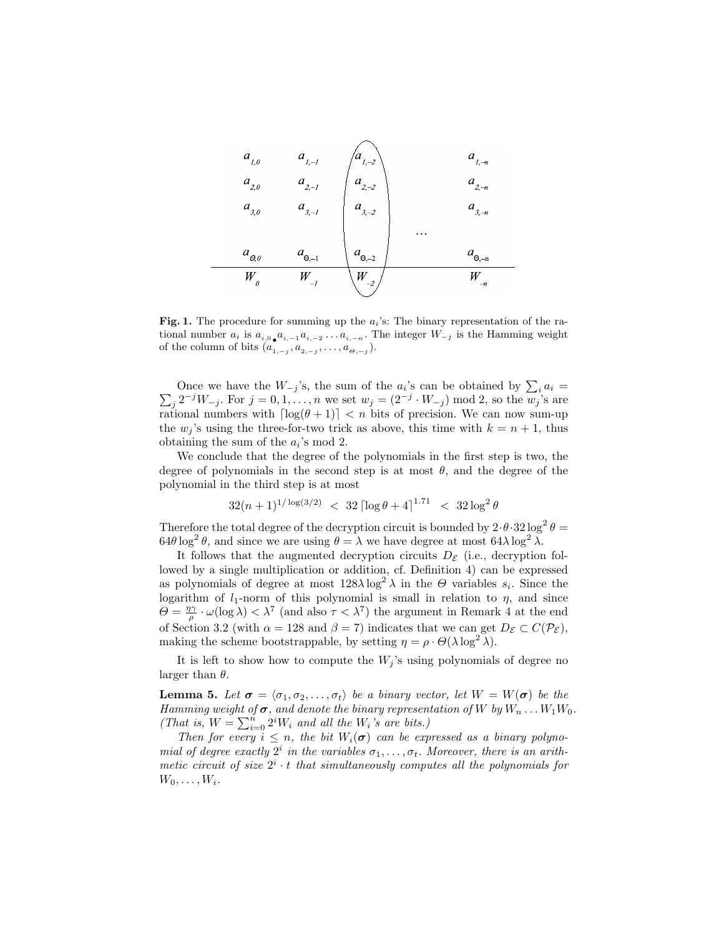| $a_{_{I,0}}$                | $a_{l,-l}$         | $\mathfrak{a}$<br>$1, -2$ |          | $a_{l,+n}$                         |
|-----------------------------|--------------------|---------------------------|----------|------------------------------------|
| $a_{_{2,0}}$                | $a_{2,-l}$         | $a_{2,-2}$                |          | $a_{2,n}$                          |
| $a_{3,0}$                   | $a_{3,-1}$         | $a_{3,-2}$                |          | $a_{3,n}$                          |
|                             |                    |                           | $\cdots$ |                                    |
| $a_{_{\mathcal{O},\theta}}$ | $a_{\Theta,-1}^{}$ | $a_{_{\Theta, -2}}$       |          | $a_{\Theta,-n}^{\phantom{\Theta}}$ |
| $W_{\rho}$                  |                    | $-2$                      |          | $-n$                               |
|                             |                    |                           |          |                                    |

**Fig. 1.** The procedure for summing up the  $a_i$ 's: The binary representation of the rational number  $a_i$  is  $a_{i,0} a_{i,-1} a_{i,-2} \ldots a_{i,-n}$ . The integer  $W_{-j}$  is the Hamming weight of the column of bits  $(a_{1,-j}, a_{2,-j}, \ldots, a_{\Theta,-j}).$ 

Once we have the  $W_{-j}$ 's, the sum of the  $a_i$ 's can be obtained by  $\sum_i a_i =$  $\overline{ }$  $j_j^{j} 2^{-j} W_{-j}$ . For  $j = 0, 1, ..., n$  we set  $w_j = (2^{-j} \cdot W_{-j}) \mod 2$ , so the  $w_j$ 's are rational numbers with  $\lceil \log(\theta + 1) \rceil < n$  bits of precision. We can now sum-up the  $w_i$ 's using the three-for-two trick as above, this time with  $k = n + 1$ , thus obtaining the sum of the  $a_i$ 's mod 2.

We conclude that the degree of the polynomials in the first step is two, the degree of polynomials in the second step is at most  $\theta$ , and the degree of the polynomial in the third step is at most

$$
32(n+1)^{1/\log(3/2)} < 32 \left[ \log \theta + 4 \right]^{1.71} < 32 \log^2 \theta
$$

Therefore the total degree of the decryption circuit is bounded by  $2 \cdot \theta \cdot 32 \log^2 \theta =$  $64\theta \log^2 \theta$ , and since we are using  $\theta = \lambda$  we have degree at most  $64\lambda \log^2 \lambda$ .

It follows that the augmented decryption circuits  $D_{\mathcal{E}}$  (i.e., decryption followed by a single multiplication or addition, cf. Definition 4) can be expressed as polynomials of degree at most  $128\lambda \log^2 \lambda$  in the  $\Theta$  variables  $s_i$ . Since the logarithm of  $l_1$ -norm of this polynomial is small in relation to  $\eta$ , and since  $\Theta = \frac{\eta \gamma}{\rho} \cdot \omega(\log \lambda) < \lambda^7$  (and also  $\tau < \lambda^7$ ) the argument in Remark 4 at the end of Section 3.2 (with  $\alpha = 128$  and  $\beta = 7$ ) indicates that we can get  $D_{\mathcal{E}} \subset C(\mathcal{P}_{\mathcal{E}})$ , making the scheme bootstrappable, by setting  $\eta = \rho \cdot \Theta(\lambda \log^2 \lambda)$ .

It is left to show how to compute the  $W_j$ 's using polynomials of degree no larger than  $\theta$ .

**Lemma 5.** Let  $\sigma = \langle \sigma_1, \sigma_2, \ldots, \sigma_t \rangle$  be a binary vector, let  $W = W(\sigma)$  be the Hamming weight of  $\sigma$ , and denote the binary representation of W by  $W_n \dots W_1 W_0$ . Hamming weight of  $\sigma$ , and denote the omarg represent (That is,  $W = \sum_{i=0}^{n} 2^i W_i$  and all the  $W_i$ 's are bits.)

Then for every  $i \leq n$ , the bit  $W_i(\sigma)$  can be expressed as a binary polynomial of degree exactly  $2^i$  in the variables  $\sigma_1, \ldots, \sigma_t$ . Moreover, there is an arithmetic circuit of size  $2^i \cdot t$  that simultaneously computes all the polynomials for  $W_0, \ldots, W_i$ .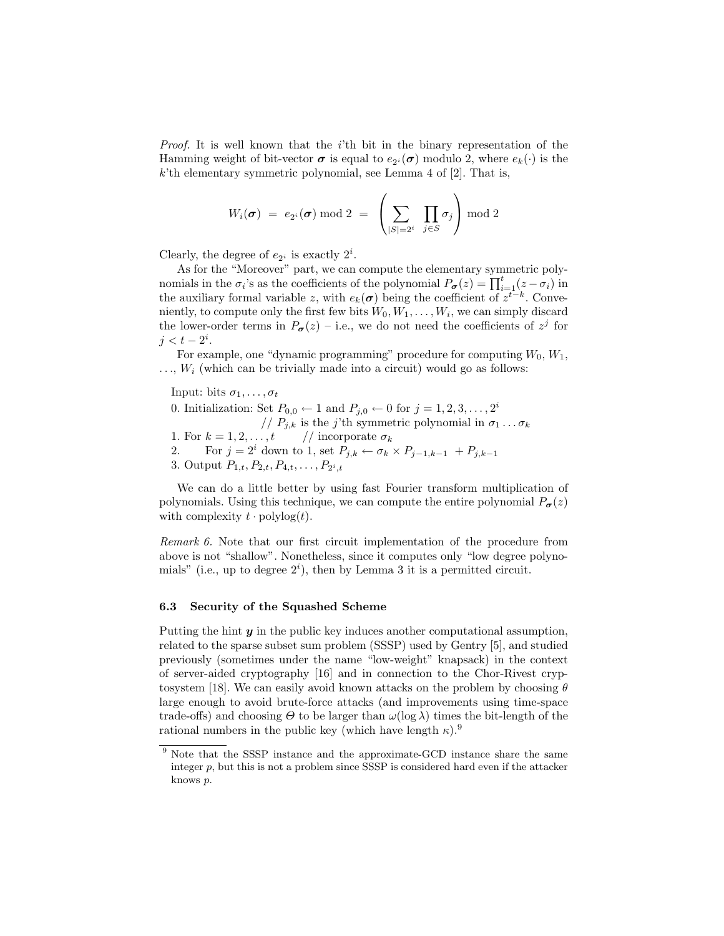*Proof.* It is well known that the  $i$ 'th bit in the binary representation of the Hamming weight of bit-vector  $\sigma$  is equal to  $e_{2^i}(\sigma)$  modulo 2, where  $e_k(\cdot)$  is the  $k$ 'th elementary symmetric polynomial, see Lemma 4 of  $[2]$ . That is,

$$
W_i(\boldsymbol{\sigma}) = e_{2^i}(\boldsymbol{\sigma}) \bmod 2 = \left(\sum_{|S|=2^i} \prod_{j \in S} \sigma_j\right) \bmod 2
$$

Clearly, the degree of  $e_{2^i}$  is exactly  $2^i$ .

As for the "Moreover" part, we can compute the elementary symmetric poly-As for the Moreover part, we can compute the elementary symmetric polynomials in the  $\sigma_i$ 's as the coefficients of the polynomial  $P_{\sigma}(z) = \prod_{i=1}^{t} (z - \sigma_i)$  in the auxiliary formal variable z, with  $e_k(\sigma)$  being the coefficient of  $z^{t-k}$ . Conveniently, to compute only the first few bits  $W_0, W_1, \ldots, W_i$ , we can simply discard the lower-order terms in  $P_{\sigma}(z)$  – i.e., we do not need the coefficients of  $z^{j}$  for  $j < t-2^i$ .

For example, one "dynamic programming" procedure for computing  $W_0, W_1$ ,  $..., W_i$  (which can be trivially made into a circuit) would go as follows:

Input: bits  $\sigma_1, \ldots, \sigma_t$ 0. Initialization: Set  $P_{0,0} \leftarrow 1$  and  $P_{j,0} \leftarrow 0$  for  $j = 1, 2, 3, \ldots, 2^i$ //  $P_{j,k}$  is the j'th symmetric polynomial in  $\sigma_1 \dots \sigma_k$ 1. For  $k = 1, 2, ..., t$  // incorporate  $\sigma_k$ 2. For  $j = 2^i$  down to 1, set  $P_{j,k} \leftarrow \sigma_k \times P_{j-1,k-1} + P_{j,k-1}$ 3. Output  $P_{1,t}, P_{2,t}, P_{4,t}, \ldots, P_{2^i,t}$ 

We can do a little better by using fast Fourier transform multiplication of polynomials. Using this technique, we can compute the entire polynomial  $P_{\sigma}(z)$ with complexity  $t \cdot \text{polylog}(t)$ .

Remark 6. Note that our first circuit implementation of the procedure from above is not "shallow". Nonetheless, since it computes only "low degree polynomials" (i.e., up to degree  $2^i$ ), then by Lemma 3 it is a permitted circuit.

### 6.3 Security of the Squashed Scheme

Putting the hint  $y$  in the public key induces another computational assumption, related to the sparse subset sum problem (SSSP) used by Gentry [5], and studied previously (sometimes under the name "low-weight" knapsack) in the context of server-aided cryptography [16] and in connection to the Chor-Rivest cryptosystem [18]. We can easily avoid known attacks on the problem by choosing  $\theta$ large enough to avoid brute-force attacks (and improvements using time-space trade-offs) and choosing  $\Theta$  to be larger than  $\omega(\log \lambda)$  times the bit-length of the rational numbers in the public key (which have length  $\kappa$ ).<sup>9</sup>

<sup>&</sup>lt;sup>9</sup> Note that the SSSP instance and the approximate-GCD instance share the same integer  $p$ , but this is not a problem since SSSP is considered hard even if the attacker knows p.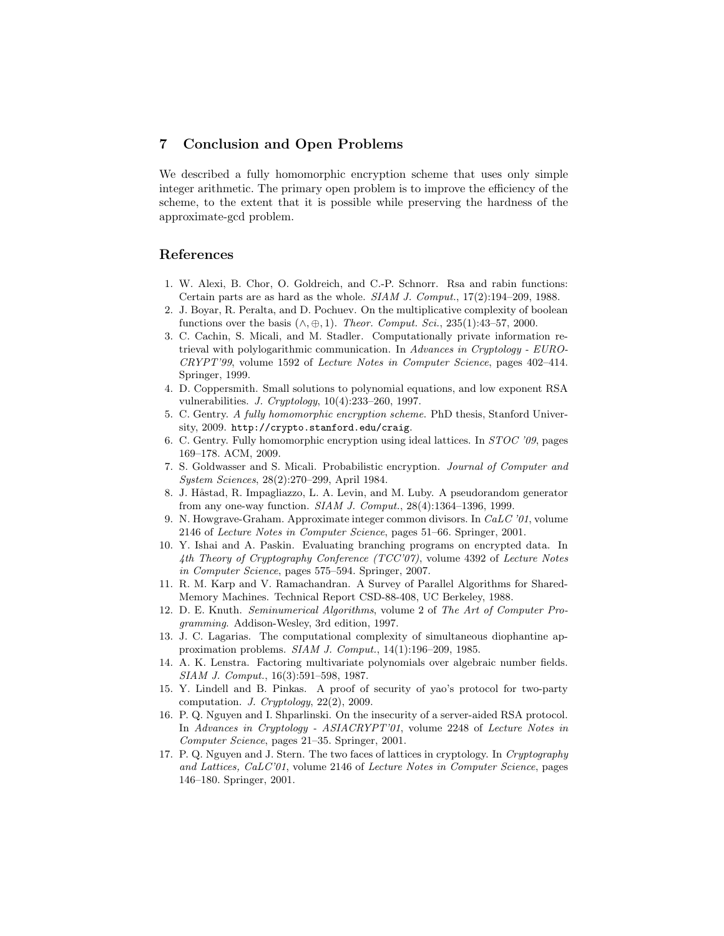# 7 Conclusion and Open Problems

We described a fully homomorphic encryption scheme that uses only simple integer arithmetic. The primary open problem is to improve the efficiency of the scheme, to the extent that it is possible while preserving the hardness of the approximate-gcd problem.

# References

- 1. W. Alexi, B. Chor, O. Goldreich, and C.-P. Schnorr. Rsa and rabin functions: Certain parts are as hard as the whole.  $SIAM$  J. Comput.,  $17(2):194-209$ , 1988.
- 2. J. Boyar, R. Peralta, and D. Pochuev. On the multiplicative complexity of boolean functions over the basis  $(\wedge, \oplus, 1)$ . Theor. Comput. Sci., 235(1):43–57, 2000.
- 3. C. Cachin, S. Micali, and M. Stadler. Computationally private information retrieval with polylogarithmic communication. In Advances in Cryptology - EURO-CRYPT'99, volume 1592 of Lecture Notes in Computer Science, pages 402–414. Springer, 1999.
- 4. D. Coppersmith. Small solutions to polynomial equations, and low exponent RSA vulnerabilities. J. Cryptology, 10(4):233–260, 1997.
- 5. C. Gentry. A fully homomorphic encryption scheme. PhD thesis, Stanford University, 2009. http://crypto.stanford.edu/craig.
- 6. C. Gentry. Fully homomorphic encryption using ideal lattices. In STOC '09, pages 169–178. ACM, 2009.
- 7. S. Goldwasser and S. Micali. Probabilistic encryption. Journal of Computer and System Sciences, 28(2):270–299, April 1984.
- 8. J. Håstad, R. Impagliazzo, L. A. Levin, and M. Luby. A pseudorandom generator from any one-way function. SIAM J. Comput., 28(4):1364–1396, 1999.
- 9. N. Howgrave-Graham. Approximate integer common divisors. In CaLC '01, volume 2146 of Lecture Notes in Computer Science, pages 51–66. Springer, 2001.
- 10. Y. Ishai and A. Paskin. Evaluating branching programs on encrypted data. In 4th Theory of Cryptography Conference (TCC'07), volume 4392 of Lecture Notes in Computer Science, pages 575–594. Springer, 2007.
- 11. R. M. Karp and V. Ramachandran. A Survey of Parallel Algorithms for Shared-Memory Machines. Technical Report CSD-88-408, UC Berkeley, 1988.
- 12. D. E. Knuth. Seminumerical Algorithms, volume 2 of The Art of Computer Programming. Addison-Wesley, 3rd edition, 1997.
- 13. J. C. Lagarias. The computational complexity of simultaneous diophantine approximation problems. SIAM J. Comput., 14(1):196–209, 1985.
- 14. A. K. Lenstra. Factoring multivariate polynomials over algebraic number fields. SIAM J. Comput., 16(3):591–598, 1987.
- 15. Y. Lindell and B. Pinkas. A proof of security of yao's protocol for two-party computation. J. Cryptology, 22(2), 2009.
- 16. P. Q. Nguyen and I. Shparlinski. On the insecurity of a server-aided RSA protocol. In Advances in Cryptology - ASIACRYPT'01, volume 2248 of Lecture Notes in Computer Science, pages 21–35. Springer, 2001.
- 17. P. Q. Nguyen and J. Stern. The two faces of lattices in cryptology. In Cryptography and Lattices, CaLC'01, volume 2146 of Lecture Notes in Computer Science, pages 146–180. Springer, 2001.